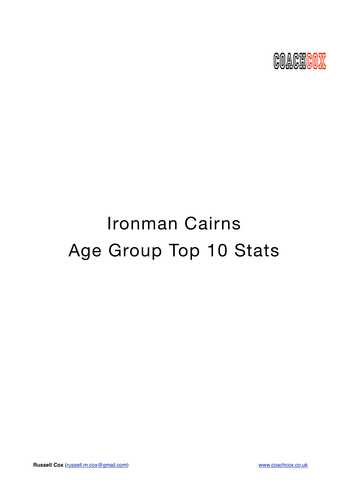

# Ironman Cairns Age Group Top 10 Stats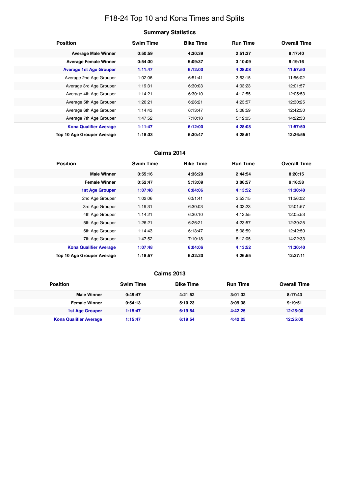# F18-24 Top 10 and Kona Times and Splits

# **Summary Statistics**

| <b>Position</b>                   | <b>Swim Time</b> | <b>Bike Time</b> | <b>Run Time</b> | <b>Overall Time</b> |
|-----------------------------------|------------------|------------------|-----------------|---------------------|
| <b>Average Male Winner</b>        | 0:50:59          | 4:30:39          | 2:51:37         | 8:17:40             |
| <b>Average Female Winner</b>      | 0:54:30          | 5:09:37          | 3:10:09         | 9:19:16             |
| <b>Average 1st Age Grouper</b>    | 1:11:47          | 6:12:00          | 4:28:08         | 11:57:50            |
| Average 2nd Age Grouper           | 1:02:06          | 6:51:41          | 3:53:15         | 11:56:02            |
| Average 3rd Age Grouper           | 1:19:31          | 6:30:03          | 4:03:23         | 12:01:57            |
| Average 4th Age Grouper           | 1:14:21          | 6:30:10          | 4:12:55         | 12:05:53            |
| Average 5th Age Grouper           | 1:26:21          | 6:26:21          | 4:23:57         | 12:30:25            |
| Average 6th Age Grouper           | 1:14:43          | 6:13:47          | 5:08:59         | 12:42:50            |
| Average 7th Age Grouper           | 1:47:52          | 7:10:18          | 5:12:05         | 14:22:33            |
| <b>Kona Qualifier Average</b>     | 1:11:47          | 6:12:00          | 4:28:08         | 11:57:50            |
| <b>Top 10 Age Grouper Average</b> | 1:18:33          | 6:30:47          | 4:28:51         | 12:26:55            |

#### **Cairns 2014**

| <b>Position</b>                   | <b>Swim Time</b> | <b>Bike Time</b> | <b>Run Time</b> | <b>Overall Time</b> |
|-----------------------------------|------------------|------------------|-----------------|---------------------|
| <b>Male Winner</b>                | 0:55:16          | 4:36:20          | 2:44:54         | 8:20:15             |
| <b>Female Winner</b>              | 0:52:47          | 5:13:09          | 3:06:57         | 9:16:58             |
| <b>1st Age Grouper</b>            | 1:07:48          | 6:04:06          | 4:13:52         | 11:30:40            |
| 2nd Age Grouper                   | 1:02:06          | 6:51:41          | 3:53:15         | 11:56:02            |
| 3rd Age Grouper                   | 1:19:31          | 6:30:03          | 4:03:23         | 12:01:57            |
| 4th Age Grouper                   | 1:14:21          | 6:30:10          | 4:12:55         | 12:05:53            |
| 5th Age Grouper                   | 1:26:21          | 6:26:21          | 4:23:57         | 12:30:25            |
| 6th Age Grouper                   | 1:14:43          | 6:13:47          | 5:08:59         | 12:42:50            |
| 7th Age Grouper                   | 1:47:52          | 7:10:18          | 5:12:05         | 14:22:33            |
| <b>Kona Qualifier Average</b>     | 1:07:48          | 6:04:06          | 4:13:52         | 11:30:40            |
| <b>Top 10 Age Grouper Average</b> | 1:18:57          | 6:32:20          | 4:26:55         | 12:27:11            |

| <b>Position</b>               | <b>Swim Time</b> | <b>Bike Time</b> | <b>Run Time</b> | <b>Overall Time</b> |
|-------------------------------|------------------|------------------|-----------------|---------------------|
| <b>Male Winner</b>            | 0:49:47          | 4:21:52          | 3:01:32         | 8:17:43             |
| <b>Female Winner</b>          | 0:54:13          | 5:10:23          | 3:09:38         | 9:19:51             |
| 1st Age Grouper               | 1:15:47          | 6:19:54          | 4:42:25         | 12:25:00            |
| <b>Kona Qualifier Average</b> | 1:15:47          | 6:19:54          | 4:42:25         | 12:25:00            |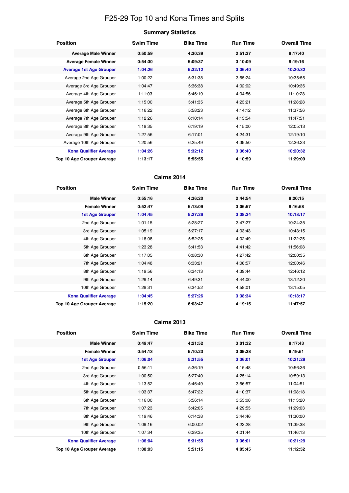# F25-29 Top 10 and Kona Times and Splits

| Summary Statistics |  |
|--------------------|--|
|--------------------|--|

| <b>Position</b>                   | <b>Swim Time</b> | <b>Bike Time</b> | <b>Run Time</b> | <b>Overall Time</b> |
|-----------------------------------|------------------|------------------|-----------------|---------------------|
| <b>Average Male Winner</b>        | 0:50:59          | 4:30:39          | 2:51:37         | 8:17:40             |
| <b>Average Female Winner</b>      | 0:54:30          | 5:09:37          | 3:10:09         | 9:19:16             |
| <b>Average 1st Age Grouper</b>    | 1:04:26          | 5:32:12          | 3:36:40         | 10:20:32            |
| Average 2nd Age Grouper           | 1:00:22          | 5:31:38          | 3:55:24         | 10:35:55            |
| Average 3rd Age Grouper           | 1:04:47          | 5:36:38          | 4:02:02         | 10:49:36            |
| Average 4th Age Grouper           | 1:11:03          | 5:46:19          | 4:04:56         | 11:10:28            |
| Average 5th Age Grouper           | 1:15:00          | 5:41:35          | 4:23:21         | 11:28:28            |
| Average 6th Age Grouper           | 1:16:22          | 5:58:23          | 4:14:12         | 11:37:56            |
| Average 7th Age Grouper           | 1:12:26          | 6:10:14          | 4:13:54         | 11:47:51            |
| Average 8th Age Grouper           | 1:19:35          | 6:19:19          | 4:15:00         | 12:05:13            |
| Average 9th Age Grouper           | 1:27:56          | 6:17:01          | 4:24:31         | 12:19:10            |
| Average 10th Age Grouper          | 1:20:56          | 6:25:49          | 4:39:50         | 12:36:23            |
| <b>Kona Qualifier Average</b>     | 1:04:26          | 5:32:12          | 3:36:40         | 10:20:32            |
| <b>Top 10 Age Grouper Average</b> | 1:13:17          | 5:55:55          | 4:10:59         | 11:29:09            |

### **Cairns 2014**

| <b>Position</b>               | <b>Swim Time</b> | <b>Bike Time</b> | <b>Run Time</b> | <b>Overall Time</b> |
|-------------------------------|------------------|------------------|-----------------|---------------------|
| <b>Male Winner</b>            | 0:55:16          | 4:36:20          | 2:44:54         | 8:20:15             |
| <b>Female Winner</b>          | 0:52:47          | 5:13:09          | 3:06:57         | 9:16:58             |
| <b>1st Age Grouper</b>        | 1:04:45          | 5:27:26          | 3:38:34         | 10:18:17            |
| 2nd Age Grouper               | 1:01:15          | 5:28:27          | 3:47:27         | 10:24:35            |
| 3rd Age Grouper               | 1:05:19          | 5:27:17          | 4:03:43         | 10:43:15            |
| 4th Age Grouper               | 1:18:08          | 5:52:25          | 4:02:49         | 11:22:25            |
| 5th Age Grouper               | 1:23:28          | 5:41:53          | 4:41:42         | 11:56:08            |
| 6th Age Grouper               | 1:17:05          | 6:08:30          | 4:27:42         | 12:00:35            |
| 7th Age Grouper               | 1:04:48          | 6:33:21          | 4:08:57         | 12:00:46            |
| 8th Age Grouper               | 1:19:56          | 6:34:13          | 4:39:44         | 12:46:12            |
| 9th Age Grouper               | 1:29:14          | 6:49:31          | 4:44:00         | 13:12:20            |
| 10th Age Grouper              | 1:29:31          | 6:34:52          | 4:58:01         | 13:15:05            |
| <b>Kona Qualifier Average</b> | 1:04:45          | 5:27:26          | 3:38:34         | 10:18:17            |
| Top 10 Age Grouper Average    | 1:15:20          | 6:03:47          | 4:19:15         | 11:47:57            |

| <b>Position</b>                   | <b>Swim Time</b> | <b>Bike Time</b> | <b>Run Time</b> | <b>Overall Time</b> |
|-----------------------------------|------------------|------------------|-----------------|---------------------|
| <b>Male Winner</b>                | 0:49:47          | 4:21:52          | 3:01:32         | 8:17:43             |
| <b>Female Winner</b>              | 0:54:13          | 5:10:23          | 3:09:38         | 9:19:51             |
| <b>1st Age Grouper</b>            | 1:06:04          | 5:31:55          | 3:36:01         | 10:21:29            |
| 2nd Age Grouper                   | 0:56:11          | 5:36:19          | 4:15:48         | 10:56:36            |
| 3rd Age Grouper                   | 1:00:50          | 5:27:40          | 4:25:14         | 10:59:13            |
| 4th Age Grouper                   | 1:13:52          | 5:46:49          | 3:56:57         | 11:04:51            |
| 5th Age Grouper                   | 1:03:37          | 5:47:22          | 4:10:37         | 11:08:18            |
| 6th Age Grouper                   | 1:16:00          | 5:56:14          | 3:53:08         | 11:13:20            |
| 7th Age Grouper                   | 1:07:23          | 5:42:05          | 4:29:55         | 11:29:03            |
| 8th Age Grouper                   | 1:19:46          | 6:14:38          | 3:44:46         | 11:30:00            |
| 9th Age Grouper                   | 1:09:16          | 6:00:02          | 4:23:28         | 11:39:38            |
| 10th Age Grouper                  | 1:07:34          | 6:29:35          | 4:01:44         | 11:46:13            |
| <b>Kona Qualifier Average</b>     | 1:06:04          | 5:31:55          | 3:36:01         | 10:21:29            |
| <b>Top 10 Age Grouper Average</b> | 1:08:03          | 5:51:15          | 4:05:45         | 11:12:52            |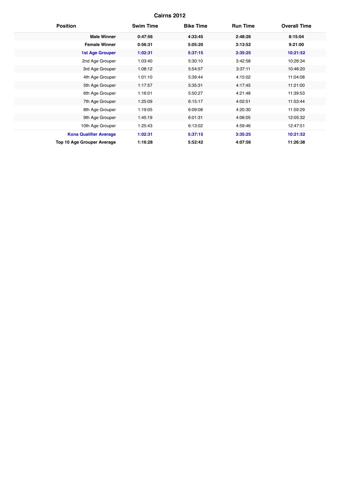| <b>Position</b>                   | <b>Swim Time</b> | <b>Bike Time</b> | <b>Run Time</b> | <b>Overall Time</b> |
|-----------------------------------|------------------|------------------|-----------------|---------------------|
| <b>Male Winner</b>                | 0:47:56          | 4:33:45          | 2:48:26         | 8:15:04             |
| <b>Female Winner</b>              | 0:56:31          | 5:05:20          | 3:13:52         | 9:21:00             |
| <b>1st Age Grouper</b>            | 1:02:31          | 5:37:15          | 3:35:25         | 10:21:52            |
| 2nd Age Grouper                   | 1:03:40          | 5:30:10          | 3:42:58         | 10:26:34            |
| 3rd Age Grouper                   | 1:08:12          | 5:54:57          | 3:37:11         | 10:46:20            |
| 4th Age Grouper                   | 1:01:10          | 5:39:44          | 4:15:02         | 11:04:08            |
| 5th Age Grouper                   | 1:17:57          | 5:35:31          | 4:17:45         | 11:21:00            |
| 6th Age Grouper                   | 1:16:01          | 5:50:27          | 4:21:48         | 11:39:53            |
| 7th Age Grouper                   | 1:25:09          | 6:15:17          | 4:02:51         | 11:53:44            |
| 8th Age Grouper                   | 1:19:05          | 6:09:08          | 4:20:30         | 11:59:29            |
| 9th Age Grouper                   | 1:45:19          | 6:01:31          | 4:06:05         | 12:05:32            |
| 10th Age Grouper                  | 1:25:43          | 6:13:02          | 4:59:46         | 12:47:51            |
| <b>Kona Qualifier Average</b>     | 1:02:31          | 5:37:15          | 3:35:25         | 10:21:52            |
| <b>Top 10 Age Grouper Average</b> | 1:16:28          | 5:52:42          | 4:07:56         | 11:26:38            |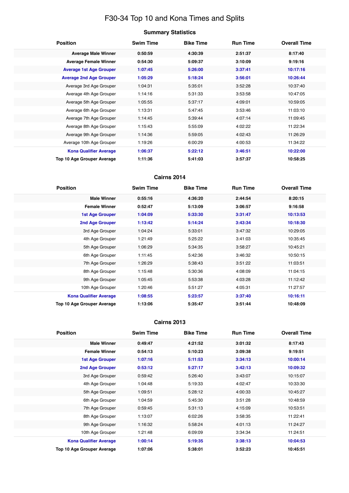# F30-34 Top 10 and Kona Times and Splits

| <b>Position</b>                   | <b>Swim Time</b> | <b>Bike Time</b> | <b>Run Time</b> | <b>Overall Time</b> |
|-----------------------------------|------------------|------------------|-----------------|---------------------|
| <b>Average Male Winner</b>        | 0:50:59          | 4:30:39          | 2:51:37         | 8:17:40             |
| <b>Average Female Winner</b>      | 0:54:30          | 5:09:37          | 3:10:09         | 9:19:16             |
| <b>Average 1st Age Grouper</b>    | 1:07:45          | 5:26:00          | 3:37:41         | 10:17:16            |
| <b>Average 2nd Age Grouper</b>    | 1:05:29          | 5:18:24          | 3:56:01         | 10:26:44            |
| Average 3rd Age Grouper           | 1:04:31          | 5:35:01          | 3:52:28         | 10:37:40            |
| Average 4th Age Grouper           | 1:14:16          | 5:31:33          | 3:53:58         | 10:47:05            |
| Average 5th Age Grouper           | 1:05:55          | 5:37:17          | 4:09:01         | 10:59:05            |
| Average 6th Age Grouper           | 1:13:31          | 5:47:45          | 3:53:46         | 11:03:10            |
| Average 7th Age Grouper           | 1:14:45          | 5:39:44          | 4:07:14         | 11:09:45            |
| Average 8th Age Grouper           | 1:15:43          | 5:55:09          | 4:02:22         | 11:22:34            |
| Average 9th Age Grouper           | 1:14:36          | 5:59:05          | 4:02:43         | 11:26:29            |
| Average 10th Age Grouper          | 1:19:26          | 6:00:29          | 4:00:53         | 11:34:22            |
| <b>Kona Qualifier Average</b>     | 1:06:37          | 5:22:12          | 3:46:51         | 10:22:00            |
| <b>Top 10 Age Grouper Average</b> | 1:11:36          | 5:41:03          | 3:57:37         | 10:58:25            |

### **Cairns 2014**

| <b>Position</b>               | <b>Swim Time</b> | <b>Bike Time</b> | <b>Run Time</b> | <b>Overall Time</b> |
|-------------------------------|------------------|------------------|-----------------|---------------------|
| <b>Male Winner</b>            | 0:55:16          | 4:36:20          | 2:44:54         | 8:20:15             |
| <b>Female Winner</b>          | 0:52:47          | 5:13:09          | 3:06:57         | 9:16:58             |
| <b>1st Age Grouper</b>        | 1:04:09          | 5:33:30          | 3:31:47         | 10:13:53            |
| 2nd Age Grouper               | 1:13:42          | 5:14:24          | 3:43:34         | 10:18:30            |
| 3rd Age Grouper               | 1:04:24          | 5:33:01          | 3:47:32         | 10:29:05            |
| 4th Age Grouper               | 1:21:49          | 5:25:22          | 3:41:03         | 10:35:45            |
| 5th Age Grouper               | 1:06:29          | 5:34:35          | 3:58:27         | 10:45:21            |
| 6th Age Grouper               | 1:11:45          | 5:42:36          | 3:46:32         | 10:50:15            |
| 7th Age Grouper               | 1:26:29          | 5:38:43          | 3:51:22         | 11:03:51            |
| 8th Age Grouper               | 1:15:48          | 5:30:36          | 4:08:09         | 11:04:15            |
| 9th Age Grouper               | 1:05:45          | 5:53:38          | 4:03:28         | 11:12:42            |
| 10th Age Grouper              | 1:20:46          | 5:51:27          | 4:05:31         | 11:27:57            |
| <b>Kona Qualifier Average</b> | 1:08:55          | 5:23:57          | 3:37:40         | 10:16:11            |
| Top 10 Age Grouper Average    | 1:13:06          | 5:35:47          | 3:51:44         | 10:48:09            |

| <b>Position</b>               | <b>Swim Time</b> | <b>Bike Time</b> | <b>Run Time</b> | <b>Overall Time</b> |
|-------------------------------|------------------|------------------|-----------------|---------------------|
| <b>Male Winner</b>            | 0:49:47          | 4:21:52          | 3:01:32         | 8:17:43             |
| <b>Female Winner</b>          | 0:54:13          | 5:10:23          | 3:09:38         | 9:19:51             |
| <b>1st Age Grouper</b>        | 1:07:16          | 5:11:53          | 3:34:13         | 10:00:14            |
| <b>2nd Age Grouper</b>        | 0:53:12          | 5:27:17          | 3:42:13         | 10:09:32            |
| 3rd Age Grouper               | 0:59:42          | 5:26:40          | 3:43:07         | 10:15:07            |
| 4th Age Grouper               | 1:04:48          | 5:19:33          | 4:02:47         | 10:33:30            |
| 5th Age Grouper               | 1:09:51          | 5:28:12          | 4:00:33         | 10:45:27            |
| 6th Age Grouper               | 1:04:59          | 5:45:30          | 3:51:28         | 10:48:59            |
| 7th Age Grouper               | 0:59:45          | 5:31:13          | 4:15:09         | 10:53:51            |
| 8th Age Grouper               | 1:13:07          | 6:02:26          | 3:58:35         | 11:22:41            |
| 9th Age Grouper               | 1:16:32          | 5:58:24          | 4:01:13         | 11:24:27            |
| 10th Age Grouper              | 1:21:48          | 6:09:09          | 3:34:34         | 11:24:51            |
| <b>Kona Qualifier Average</b> | 1:00:14          | 5:19:35          | 3:38:13         | 10:04:53            |
| Top 10 Age Grouper Average    | 1:07:06          | 5:38:01          | 3:52:23         | 10:45:51            |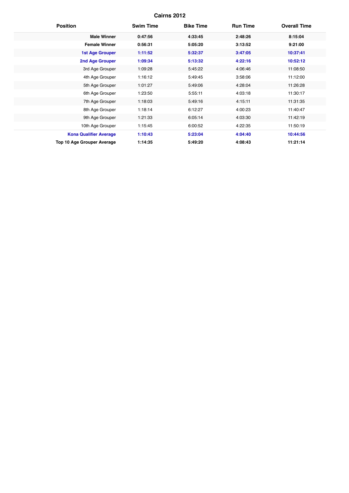| <b>Position</b>                   | <b>Swim Time</b> | <b>Bike Time</b> | <b>Run Time</b> | <b>Overall Time</b> |
|-----------------------------------|------------------|------------------|-----------------|---------------------|
| <b>Male Winner</b>                | 0:47:56          | 4:33:45          | 2:48:26         | 8:15:04             |
| <b>Female Winner</b>              | 0:56:31          | 5:05:20          | 3:13:52         | 9:21:00             |
| <b>1st Age Grouper</b>            | 1:11:52          | 5:32:37          | 3:47:05         | 10:37:41            |
| <b>2nd Age Grouper</b>            | 1:09:34          | 5:13:32          | 4:22:16         | 10:52:12            |
| 3rd Age Grouper                   | 1:09:28          | 5:45:22          | 4:06:46         | 11:08:50            |
| 4th Age Grouper                   | 1:16:12          | 5:49:45          | 3:58:06         | 11:12:00            |
| 5th Age Grouper                   | 1:01:27          | 5:49:06          | 4:28:04         | 11:26:28            |
| 6th Age Grouper                   | 1:23:50          | 5:55:11          | 4:03:18         | 11:30:17            |
| 7th Age Grouper                   | 1:18:03          | 5:49:16          | 4:15:11         | 11:31:35            |
| 8th Age Grouper                   | 1:18:14          | 6:12:27          | 4:00:23         | 11:40:47            |
| 9th Age Grouper                   | 1:21:33          | 6:05:14          | 4:03:30         | 11:42:19            |
| 10th Age Grouper                  | 1:15:45          | 6:00:52          | 4:22:35         | 11:50:19            |
| <b>Kona Qualifier Average</b>     | 1:10:43          | 5:23:04          | 4:04:40         | 10:44:56            |
| <b>Top 10 Age Grouper Average</b> | 1:14:35          | 5:49:20          | 4:08:43         | 11:21:14            |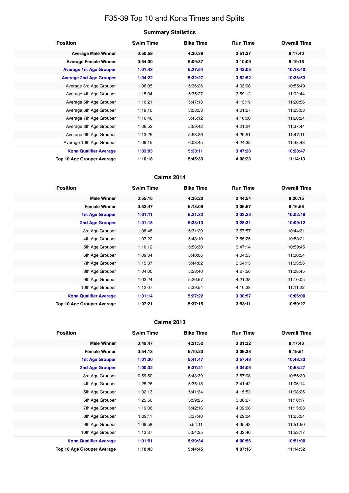# F35-39 Top 10 and Kona Times and Splits

| Summary Statistics |  |
|--------------------|--|
|--------------------|--|

| <b>Position</b>                   | <b>Swim Time</b> | <b>Bike Time</b> | <b>Run Time</b> | <b>Overall Time</b> |
|-----------------------------------|------------------|------------------|-----------------|---------------------|
| <b>Average Male Winner</b>        | 0:50:59          | 4:30:39          | 2:51:37         | 8:17:40             |
| <b>Average Female Winner</b>      | 0:54:30          | 5:09:37          | 3:10:09         | 9:19:16             |
| <b>Average 1st Age Grouper</b>    | 1:01:43          | 5:27:54          | 3:42:03         | 10:18:40            |
| <b>Average 2nd Age Grouper</b>    | 1:04:22          | 5:32:27          | 3:52:52         | 10:38:53            |
| Average 3rd Age Grouper           | 1:06:05          | 5:36:26          | 4:03:08         | 10:55:49            |
| Average 4th Age Grouper           | 1:15:04          | 5:35:27          | 3:59:12         | 11:02:44            |
| Average 5th Age Grouper           | 1:10:21          | 5:47:13          | 4:13:19         | 11:20:56            |
| Average 6th Age Grouper           | 1:19:10          | 5:53:53          | 4:01:27         | 11:23:03            |
| Average 7th Age Grouper           | 1:16:46          | 5:45:12          | 4:16:00         | 11:28:24            |
| Average 8th Age Grouper           | 1:06:52          | 5:59:42          | 4:21:24         | 11:37:44            |
| Average 9th Age Grouper           | 1:13:25          | 5:53:26          | 4:29:51         | 11:47:11            |
| Average 10th Age Grouper          | 1:09:15          | 6:03:45          | 4:24:32         | 11:48:48            |
| <b>Kona Qualifier Average</b>     | 1:03:03          | 5:30:11          | 3:47:28         | 10:28:47            |
| <b>Top 10 Age Grouper Average</b> | 1:10:18          | 5:45:33          | 4:08:23         | 11:14:13            |

### **Cairns 2014**

| <b>Position</b>               | <b>Swim Time</b> | <b>Bike Time</b> | <b>Run Time</b> | <b>Overall Time</b> |
|-------------------------------|------------------|------------------|-----------------|---------------------|
| <b>Male Winner</b>            | 0:55:16          | 4:36:20          | 2:44:54         | 8:20:15             |
| <b>Female Winner</b>          | 0:52:47          | 5:13:09          | 3:06:57         | 9:16:58             |
| <b>1st Age Grouper</b>        | 1:01:11          | 5:21:32          | 3:33:23         | 10:02:48            |
| 2nd Age Grouper               | 1:01:18          | 5:33:13          | 3:28:31         | 10:09:12            |
| 3rd Age Grouper               | 1:08:48          | 5:31:29          | 3:57:57         | 10:44:31            |
| 4th Age Grouper               | 1:07:22          | 5:43:10          | 3:55:25         | 10:53:21            |
| 5th Age Grouper               | 1:10:12          | 5:53:30          | 3:47:14         | 10:59:45            |
| 6th Age Grouper               | 1:09:34          | 5:40:06          | 4:04:55         | 11:00:54            |
| 7th Age Grouper               | 1:15:37          | 5:44:02          | 3:54:15         | 11:03:56            |
| 8th Age Grouper               | 1:04:00          | 5:28:40          | 4:27:56         | 11:08:45            |
| 9th Age Grouper               | 1:03:24          | 5:36:57          | 4:21:38         | 11:10:05            |
| 10th Age Grouper              | 1:12:07          | 5:39:54          | 4:10:38         | 11:11:22            |
| <b>Kona Qualifier Average</b> | 1:01:14          | 5:27:22          | 3:30:57         | 10:06:00            |
| Top 10 Age Grouper Average    | 1:07:21          | 5:37:15          | 3:58:11         | 10:50:27            |

| <b>Position</b>                   | <b>Swim Time</b> | <b>Bike Time</b> | <b>Run Time</b> | <b>Overall Time</b> |
|-----------------------------------|------------------|------------------|-----------------|---------------------|
| <b>Male Winner</b>                | 0:49:47          | 4:21:52          | 3:01:32         | 8:17:43             |
| <b>Female Winner</b>              | 0:54:13          | 5:10:23          | 3:09:38         | 9:19:51             |
| <b>1st Age Grouper</b>            | 1:01:30          | 5:41:47          | 3:57:48         | 10:48:33            |
| <b>2nd Age Grouper</b>            | 1:00:32          | 5:37:21          | 4:04:05         | 10:53:27            |
| 3rd Age Grouper                   | 0:59:50          | 5:43:39          | 3:57:08         | 10:56:30            |
| 4th Age Grouper                   | 1:25:26          | 5:35:18          | 3:41:42         | 11:06:14            |
| 5th Age Grouper                   | 1:02:13          | 5:41:34          | 4:15:52         | 11:08:25            |
| 6th Age Grouper                   | 1:25:50          | 5:59:25          | 3:36:27         | 11:10:17            |
| 7th Age Grouper                   | 1:19:06          | 5:42:16          | 4:02:08         | 11:15:03            |
| 8th Age Grouper                   | 1:09:11          | 5:37:40          | 4:29:04         | 11:25:04            |
| 9th Age Grouper                   | 1:09:58          | 5:54:11          | 4:35:43         | 11:51:50            |
| 10th Age Grouper                  | 1:13:37          | 5:54:25          | 4:32:46         | 11:53:17            |
| <b>Kona Qualifier Average</b>     | 1:01:01          | 5:39:34          | 4:00:56         | 10:51:00            |
| <b>Top 10 Age Grouper Average</b> | 1:10:43          | 5:44:45          | 4:07:16         | 11:14:52            |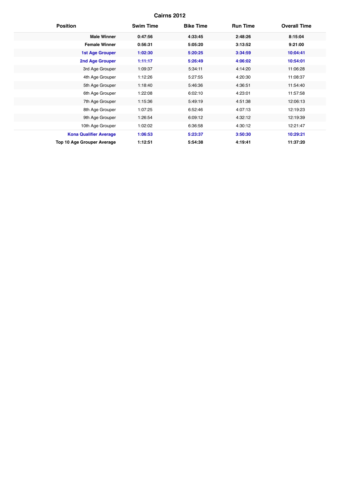| <b>Position</b>               | <b>Swim Time</b> | <b>Bike Time</b> | <b>Run Time</b> | <b>Overall Time</b> |
|-------------------------------|------------------|------------------|-----------------|---------------------|
| <b>Male Winner</b>            | 0:47:56          | 4:33:45          | 2:48:26         | 8:15:04             |
| <b>Female Winner</b>          | 0:56:31          | 5:05:20          | 3:13:52         | 9:21:00             |
| <b>1st Age Grouper</b>        | 1:02:30          | 5:20:25          | 3:34:59         | 10:04:41            |
| <b>2nd Age Grouper</b>        | 1:11:17          | 5:26:49          | 4:06:02         | 10:54:01            |
| 3rd Age Grouper               | 1:09:37          | 5:34:11          | 4:14:20         | 11:06:28            |
| 4th Age Grouper               | 1:12:26          | 5:27:55          | 4:20:30         | 11:08:37            |
| 5th Age Grouper               | 1:18:40          | 5:46:36          | 4:36:51         | 11:54:40            |
| 6th Age Grouper               | 1:22:08          | 6:02:10          | 4:23:01         | 11:57:58            |
| 7th Age Grouper               | 1:15:36          | 5:49:19          | 4:51:38         | 12:06:13            |
| 8th Age Grouper               | 1:07:25          | 6:52:46          | 4:07:13         | 12:19:23            |
| 9th Age Grouper               | 1:26:54          | 6:09:12          | 4:32:12         | 12:19:39            |
| 10th Age Grouper              | 1:02:02          | 6:36:58          | 4:30:12         | 12:21:47            |
| <b>Kona Qualifier Average</b> | 1:06:53          | 5:23:37          | 3:50:30         | 10:29:21            |
| Top 10 Age Grouper Average    | 1:12:51          | 5:54:38          | 4:19:41         | 11:37:20            |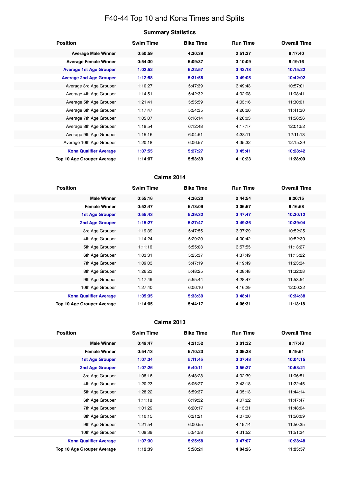# F40-44 Top 10 and Kona Times and Splits

| <b>Summary Statistics</b> |  |
|---------------------------|--|
|---------------------------|--|

| <b>Position</b>                   | <b>Swim Time</b> | <b>Bike Time</b> | <b>Run Time</b> | <b>Overall Time</b> |
|-----------------------------------|------------------|------------------|-----------------|---------------------|
| <b>Average Male Winner</b>        | 0:50:59          | 4:30:39          | 2:51:37         | 8:17:40             |
| <b>Average Female Winner</b>      | 0:54:30          | 5:09:37          | 3:10:09         | 9:19:16             |
| <b>Average 1st Age Grouper</b>    | 1:02:52          | 5:22:57          | 3:42:18         | 10:15:22            |
| <b>Average 2nd Age Grouper</b>    | 1:12:58          | 5:31:58          | 3:49:05         | 10:42:02            |
| Average 3rd Age Grouper           | 1:10:27          | 5:47:39          | 3:49:43         | 10:57:01            |
| Average 4th Age Grouper           | 1:14:51          | 5:42:32          | 4:02:08         | 11:08:41            |
| Average 5th Age Grouper           | 1:21:41          | 5:55:59          | 4:03:16         | 11:30:01            |
| Average 6th Age Grouper           | 1:17:47          | 5:54:35          | 4:20:20         | 11:41:30            |
| Average 7th Age Grouper           | 1:05:07          | 6:16:14          | 4:26:03         | 11:56:56            |
| Average 8th Age Grouper           | 1:19:54          | 6:12:48          | 4:17:17         | 12:01:52            |
| Average 9th Age Grouper           | 1:15:16          | 6:04:51          | 4:38:11         | 12:11:13            |
| Average 10th Age Grouper          | 1:20:18          | 6:06:57          | 4:35:32         | 12:15:29            |
| <b>Kona Qualifier Average</b>     | 1:07:55          | 5:27:27          | 3:45:41         | 10:28:42            |
| <b>Top 10 Age Grouper Average</b> | 1:14:07          | 5:53:39          | 4:10:23         | 11:28:00            |

### **Cairns 2014**

| <b>Position</b>               | <b>Swim Time</b> | <b>Bike Time</b> | <b>Run Time</b> | <b>Overall Time</b> |
|-------------------------------|------------------|------------------|-----------------|---------------------|
| <b>Male Winner</b>            | 0:55:16          | 4:36:20          | 2:44:54         | 8:20:15             |
| <b>Female Winner</b>          | 0:52:47          | 5:13:09          | 3:06:57         | 9:16:58             |
| <b>1st Age Grouper</b>        | 0:55:43          | 5:39:32          | 3:47:47         | 10:30:12            |
| 2nd Age Grouper               | 1:15:27          | 5:27:47          | 3:49:36         | 10:39:04            |
| 3rd Age Grouper               | 1:19:39          | 5:47:55          | 3:37:29         | 10:52:25            |
| 4th Age Grouper               | 1:14:24          | 5:29:20          | 4:00:42         | 10:52:30            |
| 5th Age Grouper               | 1:11:16          | 5:55:03          | 3:57:55         | 11:13:27            |
| 6th Age Grouper               | 1:03:31          | 5:25:37          | 4:37:49         | 11:15:22            |
| 7th Age Grouper               | 1:09:03          | 5:47:19          | 4:19:49         | 11:23:34            |
| 8th Age Grouper               | 1:26:23          | 5:48:25          | 4:08:48         | 11:32:08            |
| 9th Age Grouper               | 1:17:49          | 5:55:44          | 4:28:47         | 11:53:54            |
| 10th Age Grouper              | 1:27:40          | 6:06:10          | 4:16:29         | 12:00:32            |
| <b>Kona Qualifier Average</b> | 1:05:35          | 5:33:39          | 3:48:41         | 10:34:38            |
| Top 10 Age Grouper Average    | 1:14:05          | 5:44:17          | 4:06:31         | 11:13:18            |

| <b>Position</b>                   | <b>Swim Time</b> | <b>Bike Time</b> | <b>Run Time</b> | <b>Overall Time</b> |
|-----------------------------------|------------------|------------------|-----------------|---------------------|
| <b>Male Winner</b>                | 0:49:47          | 4:21:52          | 3:01:32         | 8:17:43             |
| <b>Female Winner</b>              | 0:54:13          | 5:10:23          | 3:09:38         | 9:19:51             |
| <b>1st Age Grouper</b>            | 1:07:34          | 5:11:45          | 3:37:48         | 10:04:15            |
| <b>2nd Age Grouper</b>            | 1:07:26          | 5:40:11          | 3:56:27         | 10:53:21            |
| 3rd Age Grouper                   | 1:08:16          | 5:48:28          | 4:02:39         | 11:06:51            |
| 4th Age Grouper                   | 1:20:23          | 6:06:27          | 3:43:18         | 11:22:45            |
| 5th Age Grouper                   | 1:28:22          | 5:59:37          | 4:05:13         | 11:44:14            |
| 6th Age Grouper                   | 1:11:18          | 6:19:32          | 4:07:22         | 11:47:47            |
| 7th Age Grouper                   | 1:01:29          | 6:20:17          | 4:13:31         | 11:48:04            |
| 8th Age Grouper                   | 1:10:15          | 6:21:21          | 4:07:00         | 11:50:09            |
| 9th Age Grouper                   | 1:21:54          | 6:00:55          | 4:19:14         | 11:50:35            |
| 10th Age Grouper                  | 1:09:39          | 5:54:58          | 4:31:52         | 11:51:34            |
| <b>Kona Qualifier Average</b>     | 1:07:30          | 5:25:58          | 3:47:07         | 10:28:48            |
| <b>Top 10 Age Grouper Average</b> | 1:12:39          | 5:58:21          | 4:04:26         | 11:25:57            |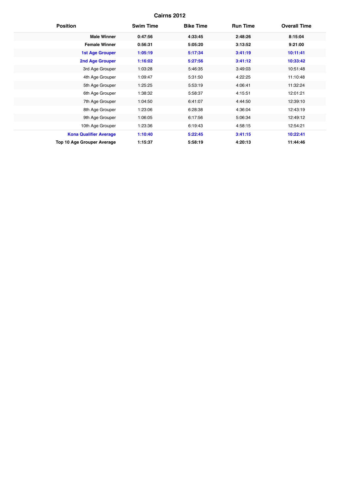| <b>Position</b>                   | <b>Swim Time</b> | <b>Bike Time</b> | <b>Run Time</b> | <b>Overall Time</b> |
|-----------------------------------|------------------|------------------|-----------------|---------------------|
| <b>Male Winner</b>                | 0:47:56          | 4:33:45          | 2:48:26         | 8:15:04             |
| <b>Female Winner</b>              | 0:56:31          | 5:05:20          | 3:13:52         | 9:21:00             |
| <b>1st Age Grouper</b>            | 1:05:19          | 5:17:34          | 3:41:19         | 10:11:41            |
| <b>2nd Age Grouper</b>            | 1:16:02          | 5:27:56          | 3:41:12         | 10:33:42            |
| 3rd Age Grouper                   | 1:03:28          | 5:46:35          | 3:49:03         | 10:51:48            |
| 4th Age Grouper                   | 1:09:47          | 5:31:50          | 4:22:25         | 11:10:48            |
| 5th Age Grouper                   | 1:25:25          | 5:53:19          | 4:06:41         | 11:32:24            |
| 6th Age Grouper                   | 1:38:32          | 5:58:37          | 4:15:51         | 12:01:21            |
| 7th Age Grouper                   | 1:04:50          | 6:41:07          | 4:44:50         | 12:39:10            |
| 8th Age Grouper                   | 1:23:06          | 6:28:38          | 4:36:04         | 12:43:19            |
| 9th Age Grouper                   | 1:06:05          | 6:17:56          | 5:06:34         | 12:49:12            |
| 10th Age Grouper                  | 1:23:36          | 6:19:43          | 4:58:15         | 12:54:21            |
| <b>Kona Qualifier Average</b>     | 1:10:40          | 5:22:45          | 3:41:15         | 10:22:41            |
| <b>Top 10 Age Grouper Average</b> | 1:15:37          | 5:58:19          | 4:20:13         | 11:44:46            |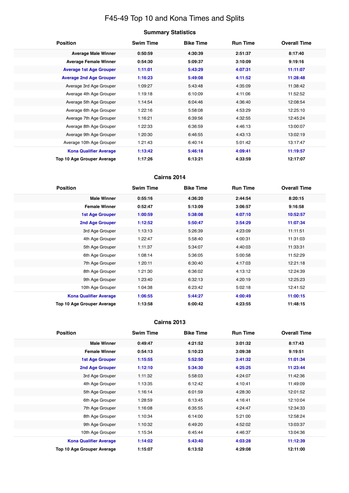# F45-49 Top 10 and Kona Times and Splits

| Summary Statistics |  |
|--------------------|--|
|--------------------|--|

| <b>Position</b>                   | <b>Swim Time</b> | <b>Bike Time</b> | <b>Run Time</b> | <b>Overall Time</b> |
|-----------------------------------|------------------|------------------|-----------------|---------------------|
| <b>Average Male Winner</b>        | 0:50:59          | 4:30:39          | 2:51:37         | 8:17:40             |
| <b>Average Female Winner</b>      | 0:54:30          | 5:09:37          | 3:10:09         | 9:19:16             |
| <b>Average 1st Age Grouper</b>    | 1:11:01          | 5:43:29          | 4:07:31         | 11:11:07            |
| <b>Average 2nd Age Grouper</b>    | 1:16:23          | 5:49:08          | 4:11:52         | 11:28:48            |
| Average 3rd Age Grouper           | 1:09:27          | 5:43:48          | 4:35:09         | 11:38:42            |
| Average 4th Age Grouper           | 1:19:18          | 6:10:09          | 4:11:06         | 11:52:52            |
| Average 5th Age Grouper           | 1:14:54          | 6:04:46          | 4:36:40         | 12:08:54            |
| Average 6th Age Grouper           | 1:22:16          | 5:58:08          | 4:53:29         | 12:25:10            |
| Average 7th Age Grouper           | 1:16:21          | 6:39:56          | 4:32:55         | 12:45:24            |
| Average 8th Age Grouper           | 1:22:33          | 6:36:59          | 4:46:13         | 13:00:07            |
| Average 9th Age Grouper           | 1:20:30          | 6:46:55          | 4:43:13         | 13:02:19            |
| Average 10th Age Grouper          | 1:21:43          | 6:40:14          | 5:01:42         | 13:17:47            |
| <b>Kona Qualifier Average</b>     | 1:13:42          | 5:46:18          | 4:09:41         | 11:19:57            |
| <b>Top 10 Age Grouper Average</b> | 1:17:26          | 6:13:21          | 4:33:59         | 12:17:07            |

### **Cairns 2014**

| <b>Position</b>               | <b>Swim Time</b> | <b>Bike Time</b> | <b>Run Time</b> | <b>Overall Time</b> |
|-------------------------------|------------------|------------------|-----------------|---------------------|
| <b>Male Winner</b>            | 0:55:16          | 4:36:20          | 2:44:54         | 8:20:15             |
| <b>Female Winner</b>          | 0:52:47          | 5:13:09          | 3:06:57         | 9:16:58             |
| <b>1st Age Grouper</b>        | 1:00:59          | 5:38:08          | 4:07:10         | 10:52:57            |
| 2nd Age Grouper               | 1:12:52          | 5:50:47          | 3:54:29         | 11:07:34            |
| 3rd Age Grouper               | 1:13:13          | 5:26:39          | 4:23:09         | 11:11:51            |
| 4th Age Grouper               | 1:22:47          | 5:58:40          | 4:00:31         | 11:31:03            |
| 5th Age Grouper               | 1:11:37          | 5:34:07          | 4:40:03         | 11:33:31            |
| 6th Age Grouper               | 1:08:14          | 5:36:05          | 5:00:58         | 11:52:29            |
| 7th Age Grouper               | 1:20:11          | 6:30:40          | 4:17:03         | 12:21:18            |
| 8th Age Grouper               | 1:21:30          | 6:36:02          | 4:13:12         | 12:24:39            |
| 9th Age Grouper               | 1:23:40          | 6:32:13          | 4:20:19         | 12:25:23            |
| 10th Age Grouper              | 1:04:38          | 6:23:42          | 5:02:18         | 12:41:52            |
| <b>Kona Qualifier Average</b> | 1:06:55          | 5:44:27          | 4:00:49         | 11:00:15            |
| Top 10 Age Grouper Average    | 1:13:58          | 6:00:42          | 4:23:55         | 11:48:15            |

| <b>Position</b>                   | <b>Swim Time</b> | <b>Bike Time</b> | <b>Run Time</b> | <b>Overall Time</b> |
|-----------------------------------|------------------|------------------|-----------------|---------------------|
| <b>Male Winner</b>                | 0:49:47          | 4:21:52          | 3:01:32         | 8:17:43             |
| <b>Female Winner</b>              | 0:54:13          | 5:10:23          | 3:09:38         | 9:19:51             |
| <b>1st Age Grouper</b>            | 1:15:55          | 5:52:50          | 3:41:32         | 11:01:34            |
| <b>2nd Age Grouper</b>            | 1:12:10          | 5:34:30          | 4:25:25         | 11:23:44            |
| 3rd Age Grouper                   | 1:11:32          | 5:58:03          | 4:24:07         | 11:42:36            |
| 4th Age Grouper                   | 1:13:35          | 6:12:42          | 4:10:41         | 11:49:09            |
| 5th Age Grouper                   | 1:16:14          | 6:01:59          | 4:28:30         | 12:01:52            |
| 6th Age Grouper                   | 1:28:59          | 6:13:45          | 4:16:41         | 12:10:04            |
| 7th Age Grouper                   | 1:16:08          | 6:35:55          | 4:24:47         | 12:34:33            |
| 8th Age Grouper                   | 1:10:34          | 6:14:00          | 5:21:00         | 12:58:24            |
| 9th Age Grouper                   | 1:10:32          | 6:49:20          | 4:52:02         | 13:03:37            |
| 10th Age Grouper                  | 1:15:34          | 6:45:44          | 4:46:37         | 13:04:36            |
| <b>Kona Qualifier Average</b>     | 1:14:02          | 5:43:40          | 4:03:28         | 11:12:39            |
| <b>Top 10 Age Grouper Average</b> | 1:15:07          | 6:13:52          | 4:29:08         | 12:11:00            |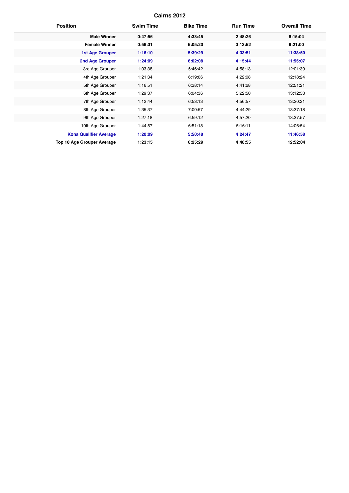| <b>Position</b>                   | <b>Swim Time</b> | <b>Bike Time</b> | <b>Run Time</b> | <b>Overall Time</b> |
|-----------------------------------|------------------|------------------|-----------------|---------------------|
| <b>Male Winner</b>                | 0:47:56          | 4:33:45          | 2:48:26         | 8:15:04             |
| <b>Female Winner</b>              | 0:56:31          | 5:05:20          | 3:13:52         | 9:21:00             |
| <b>1st Age Grouper</b>            | 1:16:10          | 5:39:29          | 4:33:51         | 11:38:50            |
| <b>2nd Age Grouper</b>            | 1:24:09          | 6:02:08          | 4:15:44         | 11:55:07            |
| 3rd Age Grouper                   | 1:03:38          | 5:46:42          | 4:58:13         | 12:01:39            |
| 4th Age Grouper                   | 1:21:34          | 6:19:06          | 4:22:08         | 12:18:24            |
| 5th Age Grouper                   | 1:16:51          | 6:38:14          | 4:41:28         | 12:51:21            |
| 6th Age Grouper                   | 1:29:37          | 6:04:36          | 5:22:50         | 13:12:58            |
| 7th Age Grouper                   | 1:12:44          | 6:53:13          | 4:56:57         | 13:20:21            |
| 8th Age Grouper                   | 1:35:37          | 7:00:57          | 4:44:29         | 13:37:18            |
| 9th Age Grouper                   | 1:27:18          | 6:59:12          | 4:57:20         | 13:37:57            |
| 10th Age Grouper                  | 1:44:57          | 6:51:18          | 5:16:11         | 14:06:54            |
| <b>Kona Qualifier Average</b>     | 1:20:09          | 5:50:48          | 4:24:47         | 11:46:58            |
| <b>Top 10 Age Grouper Average</b> | 1:23:15          | 6:25:29          | 4:48:55         | 12:52:04            |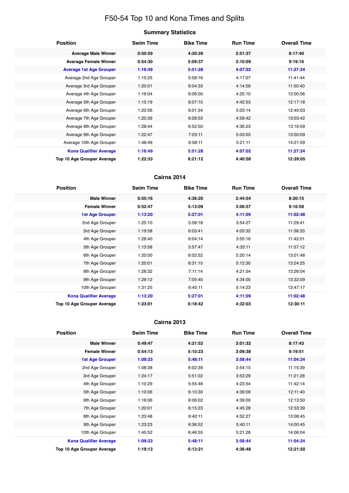# F50-54 Top 10 and Kona Times and Splits

| <b>Position</b>                   | <b>Swim Time</b> | <b>Bike Time</b> | <b>Run Time</b> | <b>Overall Time</b> |
|-----------------------------------|------------------|------------------|-----------------|---------------------|
| <b>Average Male Winner</b>        | 0:50:59          | 4:30:39          | 2:51:37         | 8:17:40             |
| <b>Average Female Winner</b>      | 0:54:30          | 5:09:37          | 3:10:09         | 9:19:16             |
| <b>Average 1st Age Grouper</b>    | 1:16:49          | 5:51:28          | 4:07:02         | 11:27:24            |
| Average 2nd Age Grouper           | 1:15:25          | 5:58:16          | 4:17:07         | 11:41:44            |
| Average 3rd Age Grouper           | 1:20:01          | 6:04:33          | 4:14:59         | 11:50:40            |
| Average 4th Age Grouper           | 1:16:04          | 6:06:00          | 4:25:10         | 12:00:56            |
| Average 5th Age Grouper           | 1:15:19          | 6:07:10          | 4:42:53         | 12:17:18            |
| Average 6th Age Grouper           | 1:20:56          | 6:01:34          | 5:03:14         | 12:40:03            |
| Average 7th Age Grouper           | 1:20:39          | 6:28:53          | 4:58:42         | 13:03:42            |
| Average 8th Age Grouper           | 1:28:44          | 6:52:50          | 4:36:23         | 13:16:59            |
| Average 9th Age Grouper           | 1:22:47          | 7:03:11          | 5:03:03         | 13:50:09            |
| Average 10th Age Grouper          | 1:48:49          | 6:58:11          | 5:21:11         | 14:21:59            |
| <b>Kona Qualifier Average</b>     | 1:16:49          | 5:51:28          | 4:07:02         | 11:27:24            |
| <b>Top 10 Age Grouper Average</b> | 1:22:33          | 6:21:12          | 4:40:58         | 12:39:05            |

### **Cairns 2014**

| <b>Position</b>               | <b>Swim Time</b> | <b>Bike Time</b> | <b>Run Time</b> | <b>Overall Time</b> |
|-------------------------------|------------------|------------------|-----------------|---------------------|
| <b>Male Winner</b>            | 0:55:16          | 4:36:20          | 2:44:54         | 8:20:15             |
| <b>Female Winner</b>          | 0:52:47          | 5:13:09          | 3:06:57         | 9:16:58             |
| <b>1st Age Grouper</b>        | 1:13:20          | 5:27:01          | 4:11:09         | 11:02:48            |
| 2nd Age Grouper               | 1:25:10          | 5:58:18          | 3:54:27         | 11:29:41            |
| 3rd Age Grouper               | 1:19:58          | 6:03:41          | 4:03:32         | 11:38:33            |
| 4th Age Grouper               | 1:28:40          | 6:04:14          | 3:55:16         | 11:42:01            |
| 5th Age Grouper               | 1:13:58          | 5:57:47          | 4:33:11         | 11:57:12            |
| 6th Age Grouper               | 1:20:00          | 6:02:52          | 5:20:14         | 13:01:48            |
| 7th Age Grouper               | 1:20:01          | 6:31:10          | 5:12:30         | 13:24:25            |
| 8th Age Grouper               | 1:28:32          | 7:11:14          | 4:21:54         | 13:26:04            |
| 9th Age Grouper               | 1:29:12          | 7:05:40          | 4:34:00         | 13:32:09            |
| 10th Age Grouper              | 1:31:25          | 6:45:11          | 5:14:23         | 13:47:17            |
| <b>Kona Qualifier Average</b> | 1:13:20          | 5:27:01          | 4:11:09         | 11:02:48            |
| Top 10 Age Grouper Average    | 1:23:01          | 6:18:42          | 4:32:03         | 12:30:11            |

| <b>Position</b>                   | <b>Swim Time</b> | <b>Bike Time</b> | <b>Run Time</b> | <b>Overall Time</b> |
|-----------------------------------|------------------|------------------|-----------------|---------------------|
| <b>Male Winner</b>                | 0:49:47          | 4:21:52          | 3:01:32         | 8:17:43             |
| <b>Female Winner</b>              | 0:54:13          | 5:10:23          | 3:09:38         | 9:19:51             |
| <b>1st Age Grouper</b>            | 1:09:33          | 5:48:11          | 3:58:44         | 11:04:24            |
| 2nd Age Grouper                   | 1:08:38          | 6:02:39          | 3:54:15         | 11:15:39            |
| 3rd Age Grouper                   | 1:24:17          | 5:51:02          | 3:53:29         | 11:21:28            |
| 4th Age Grouper                   | 1:10:29          | 5:55:48          | 4:23:54         | 11:42:14            |
| 5th Age Grouper                   | 1:10:06          | 6:10:30          | 4:39:09         | 12:11:40            |
| 6th Age Grouper                   | 1:16:06          | 6:06:02          | 4:39:00         | 12:13:50            |
| 7th Age Grouper                   | 1:20:01          | 6:15:23          | 4:45:28         | 12:33:39            |
| 8th Age Grouper                   | 1:23:48          | 6:40:11          | 4:52:27         | 13:08:45            |
| 9th Age Grouper                   | 1:23:23          | 6:36:52          | 5:40:11         | 14:00:45            |
| 10th Age Grouper                  | 1:45:52          | 6:46:55          | 5:21:26         | 14:06:04            |
| <b>Kona Qualifier Average</b>     | 1:09:33          | 5:48:11          | 3:58:44         | 11:04:24            |
| <b>Top 10 Age Grouper Average</b> | 1:19:13          | 6:13:21          | 4:36:48         | 12:21:50            |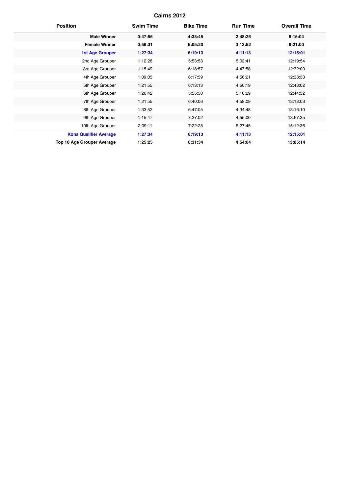| <b>Position</b>                   | <b>Swim Time</b> | <b>Bike Time</b> | <b>Run Time</b> | <b>Overall Time</b> |
|-----------------------------------|------------------|------------------|-----------------|---------------------|
| <b>Male Winner</b>                | 0:47:56          | 4:33:45          | 2:48:26         | 8:15:04             |
| <b>Female Winner</b>              | 0:56:31          | 5:05:20          | 3:13:52         | 9:21:00             |
| <b>1st Age Grouper</b>            | 1:27:34          | 6:19:13          | 4:11:13         | 12:15:01            |
| 2nd Age Grouper                   | 1:12:28          | 5:53:53          | 5:02:41         | 12:19:54            |
| 3rd Age Grouper                   | 1:15:49          | 6:18:57          | 4:47:58         | 12:32:00            |
| 4th Age Grouper                   | 1:09:05          | 6:17:59          | 4:56:21         | 12:38:33            |
| 5th Age Grouper                   | 1:21:55          | 6:13:13          | 4:56:19         | 12:43:02            |
| 6th Age Grouper                   | 1:26:42          | 5:55:50          | 5:10:29         | 12:44:32            |
| 7th Age Grouper                   | 1:21:55          | 6:40:06          | 4:58:09         | 13:13:03            |
| 8th Age Grouper                   | 1:33:52          | 6:47:05          | 4:34:48         | 13:16:10            |
| 9th Age Grouper                   | 1:15:47          | 7:27:02          | 4:55:00         | 13:57:35            |
| 10th Age Grouper                  | 2:09:11          | 7:22:28          | 5:27:45         | 15:12:36            |
| <b>Kona Qualifier Average</b>     | 1:27:34          | 6:19:13          | 4:11:13         | 12:15:01            |
| <b>Top 10 Age Grouper Average</b> | 1:25:25          | 6:31:34          | 4:54:04         | 13:05:14            |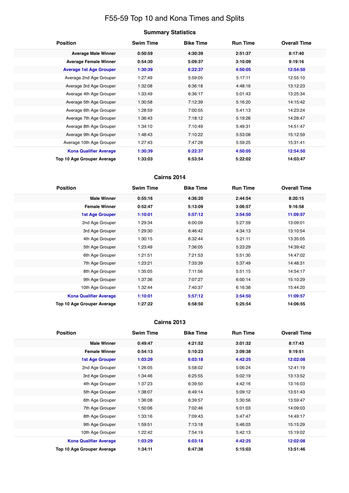# F55-59 Top 10 and Kona Times and Splits

| <b>Position</b>                   | <b>Swim Time</b> | <b>Bike Time</b> | <b>Run Time</b> | <b>Overall Time</b> |
|-----------------------------------|------------------|------------------|-----------------|---------------------|
| <b>Average Male Winner</b>        | 0:50:59          | 4:30:39          | 2:51:37         | 8:17:40             |
| <b>Average Female Winner</b>      | 0:54:30          | 5:09:37          | 3:10:09         | 9:19:16             |
| <b>Average 1st Age Grouper</b>    | 1:30:39          | 6:22:37          | 4:50:05         | 12:54:50            |
| Average 2nd Age Grouper           | 1:27:49          | 5:59:05          | 5:17:11         | 12:55:10            |
| Average 3rd Age Grouper           | 1:32:08          | 6:36:18          | 4:48:16         | 13:12:23            |
| Average 4th Age Grouper           | 1:33:49          | 6:36:17          | 5:01:43         | 13:25:34            |
| Average 5th Age Grouper           | 1:30:58          | 7:12:39          | 5:16:20         | 14:15:42            |
| Average 6th Age Grouper           | 1:28:59          | 7:00:55          | 5:41:13         | 14:23:24            |
| Average 7th Age Grouper           | 1:36:43          | 7:18:12          | 5:19:26         | 14:28:47            |
| Average 8th Age Grouper           | 1:34:10          | 7:10:49          | 5:49:31         | 14:51:47            |
| Average 9th Age Grouper           | 1:48:43          | 7:10:22          | 5:53:08         | 15:12:59            |
| Average 10th Age Grouper          | 1:27:43          | 7:47:28          | 5:59:25         | 15:31:41            |
| <b>Kona Qualifier Average</b>     | 1:30:39          | 6:22:37          | 4:50:05         | 12:54:50            |
| <b>Top 10 Age Grouper Average</b> | 1:33:03          | 6:53:54          | 5:22:02         | 14:03:47            |

### **Cairns 2014**

| <b>Position</b>               | <b>Swim Time</b> | <b>Bike Time</b> | <b>Run Time</b> | <b>Overall Time</b> |
|-------------------------------|------------------|------------------|-----------------|---------------------|
| <b>Male Winner</b>            | 0:55:16          | 4:36:20          | 2:44:54         | 8:20:15             |
| <b>Female Winner</b>          | 0:52:47          | 5:13:09          | 3:06:57         | 9:16:58             |
| <b>1st Age Grouper</b>        | 1:10:01          | 5:57:12          | 3:54:50         | 11:09:57            |
| 2nd Age Grouper               | 1:29:34          | 6:00:09          | 5:27:59         | 13:09:01            |
| 3rd Age Grouper               | 1:29:30          | 6:46:42          | 4:34:13         | 13:10:54            |
| 4th Age Grouper               | 1:30:15          | 6:32:44          | 5:21:11         | 13:35:05            |
| 5th Age Grouper               | 1:23:49          | 7:36:05          | 5:23:29         | 14:39:42            |
| 6th Age Grouper               | 1:21:51          | 7:21:53          | 5:51:30         | 14:47:02            |
| 7th Age Grouper               | 1:23:21          | 7:33:39          | 5:37:49         | 14:48:31            |
| 8th Age Grouper               | 1:35:05          | 7:11:56          | 5:51:15         | 14:54:17            |
| 9th Age Grouper               | 1:37:36          | 7:07:27          | 6:00:14         | 15:10:29            |
| 10th Age Grouper              | 1:32:44          | 7:40:37          | 6:16:38         | 15:44:20            |
| <b>Kona Qualifier Average</b> | 1:10:01          | 5:57:12          | 3:54:50         | 11:09:57            |
| Top 10 Age Grouper Average    | 1:27:22          | 6:58:50          | 5:25:54         | 14:06:55            |

| <b>Position</b>               | <b>Swim Time</b> | <b>Bike Time</b> | <b>Run Time</b> | <b>Overall Time</b> |
|-------------------------------|------------------|------------------|-----------------|---------------------|
| <b>Male Winner</b>            | 0:49:47          | 4:21:52          | 3:01:32         | 8:17:43             |
| <b>Female Winner</b>          | 0:54:13          | 5:10:23          | 3:09:38         | 9:19:51             |
| <b>1st Age Grouper</b>        | 1:03:29          | 6:03:18          | 4:42:25         | 12:02:08            |
| 2nd Age Grouper               | 1:26:05          | 5:58:02          | 5:06:24         | 12:41:19            |
| 3rd Age Grouper               | 1:34:46          | 6:25:55          | 5:02:19         | 13:13:52            |
| 4th Age Grouper               | 1:37:23          | 6:39:50          | 4:42:16         | 13:16:03            |
| 5th Age Grouper               | 1:38:07          | 6:49:14          | 5:09:12         | 13:51:43            |
| 6th Age Grouper               | 1:36:08          | 6:39:57          | 5:30:56         | 13:59:47            |
| 7th Age Grouper               | 1:50:06          | 7:02:46          | 5:01:03         | 14:09:03            |
| 8th Age Grouper               | 1:33:16          | 7:09:43          | 5:47:47         | 14:49:17            |
| 9th Age Grouper               | 1:59:51          | 7:13:18          | 5:46:03         | 15:15:29            |
| 10th Age Grouper              | 1:22:42          | 7:54:19          | 5:42:13         | 15:19:02            |
| <b>Kona Qualifier Average</b> | 1:03:29          | 6:03:18          | 4:42:25         | 12:02:08            |
| Top 10 Age Grouper Average    | 1:34:11          | 6:47:38          | 5:15:03         | 13:51:46            |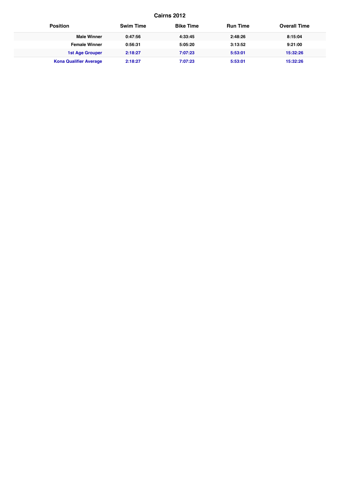| <b>Position</b>               | <b>Swim Time</b> | <b>Bike Time</b> | <b>Run Time</b> | <b>Overall Time</b> |
|-------------------------------|------------------|------------------|-----------------|---------------------|
| <b>Male Winner</b>            | 0:47:56          | 4:33:45          | 2:48:26         | 8:15:04             |
| <b>Female Winner</b>          | 0:56:31          | 5:05:20          | 3:13:52         | 9:21:00             |
| <b>1st Age Grouper</b>        | 2:18:27          | 7:07:23          | 5:53:01         | 15:32:26            |
| <b>Kona Qualifier Average</b> | 2:18:27          | 7:07:23          | 5:53:01         | 15:32:26            |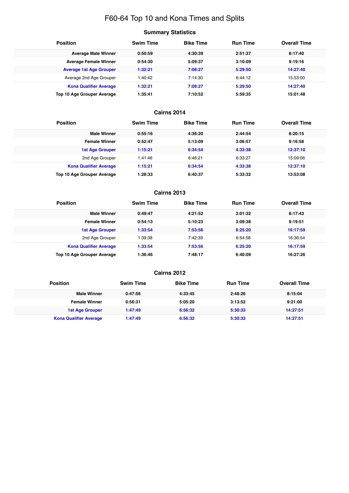# F60-64 Top 10 and Kona Times and Splits

# **Summary Statistics**

| <b>Position</b>                | <b>Swim Time</b> | <b>Bike Time</b> | <b>Run Time</b> | <b>Overall Time</b> |
|--------------------------------|------------------|------------------|-----------------|---------------------|
| <b>Average Male Winner</b>     | 0:50:59          | 4:30:39          | 2:51:37         | 8:17:40             |
| <b>Average Female Winner</b>   | 0:54:30          | 5:09:37          | 3:10:09         | 9:19:16             |
| <b>Average 1st Age Grouper</b> | 1:32:21          | 7:08:27          | 5:29:50         | 14:27:40            |
| Average 2nd Age Grouper        | 1:40:42          | 7:14:30          | 6:44:12         | 15:53:00            |
| <b>Kona Qualifier Average</b>  | 1:32:21          | 7:08:27          | 5:29:50         | 14:27:40            |
| Top 10 Age Grouper Average     | 1:35:41          | 7:10:52          | 5:59:35         | 15:01:48            |

### **Cairns 2014**

| <b>Position</b>               | <b>Swim Time</b> | <b>Bike Time</b> | <b>Run Time</b> | <b>Overall Time</b> |
|-------------------------------|------------------|------------------|-----------------|---------------------|
| <b>Male Winner</b>            | 0:55:16          | 4:36:20          | 2:44:54         | 8:20:15             |
| <b>Female Winner</b>          | 0:52:47          | 5:13:09          | 3:06:57         | 9:16:58             |
| <b>1st Age Grouper</b>        | 1:15:21          | 6:34:54          | 4:33:38         | 12:37:10            |
| 2nd Age Grouper               | 1:41:46          | 6:46:21          | 6:33:27         | 15:09:06            |
| <b>Kona Qualifier Average</b> | 1:15:21          | 6:34:54          | 4:33:38         | 12:37:10            |
| Top 10 Age Grouper Average    | 1:28:33          | 6:40:37          | 5:33:32         | 13:53:08            |

#### **Cairns 2013**

| <b>Position</b>                   | <b>Swim Time</b> | <b>Bike Time</b> | <b>Run Time</b> | <b>Overall Time</b> |
|-----------------------------------|------------------|------------------|-----------------|---------------------|
| <b>Male Winner</b>                | 0:49:47          | 4:21:52          | 3:01:32         | 8:17:43             |
| <b>Female Winner</b>              | 0:54:13          | 5:10:23          | 3:09:38         | 9:19:51             |
| <b>1st Age Grouper</b>            | 1:33:54          | 7:53:56          | 6:25:20         | 16:17:59            |
| 2nd Age Grouper                   | 1:39:38          | 7:42:39          | 6:54:58         | 16:36:54            |
| <b>Kona Qualifier Average</b>     | 1:33:54          | 7:53:56          | 6:25:20         | 16:17:59            |
| <b>Top 10 Age Grouper Average</b> | 1:36:46          | 7:48:17          | 6:40:09         | 16:27:26            |

| <b>Position</b>               | <b>Swim Time</b> | <b>Bike Time</b> | <b>Run Time</b> | <b>Overall Time</b> |
|-------------------------------|------------------|------------------|-----------------|---------------------|
| <b>Male Winner</b>            | 0:47:56          | 4:33:45          | 2:48:26         | 8:15:04             |
| <b>Female Winner</b>          | 0:56:31          | 5:05:20          | 3:13:52         | 9:21:00             |
| 1st Age Grouper               | 1:47:49          | 6:56:32          | 5:30:33         | 14:27:51            |
| <b>Kona Qualifier Average</b> | 1:47:49          | 6:56:32          | 5:30:33         | 14:27:51            |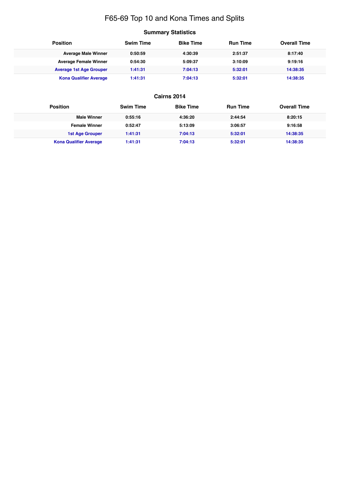# F65-69 Top 10 and Kona Times and Splits

# **Summary Statistics**

| <b>Position</b>                | <b>Swim Time</b> | <b>Bike Time</b> | <b>Run Time</b> | <b>Overall Time</b> |
|--------------------------------|------------------|------------------|-----------------|---------------------|
| <b>Average Male Winner</b>     | 0:50:59          | 4:30:39          | 2:51:37         | 8:17:40             |
| <b>Average Female Winner</b>   | 0:54:30          | 5:09:37          | 3:10:09         | 9:19:16             |
| <b>Average 1st Age Grouper</b> | 1:41:31          | 7:04:13          | 5:32:01         | 14:38:35            |
| <b>Kona Qualifier Average</b>  | 1:41:31          | 7:04:13          | 5:32:01         | 14:38:35            |

| <b>Position</b>               | <b>Swim Time</b> | <b>Bike Time</b> | <b>Run Time</b> | <b>Overall Time</b> |
|-------------------------------|------------------|------------------|-----------------|---------------------|
| <b>Male Winner</b>            | 0:55:16          | 4:36:20          | 2:44:54         | 8:20:15             |
| <b>Female Winner</b>          | 0:52:47          | 5:13:09          | 3:06:57         | 9:16:58             |
| <b>1st Age Grouper</b>        | 1:41:31          | 7:04:13          | 5:32:01         | 14:38:35            |
| <b>Kona Qualifier Average</b> | 1:41:31          | 7:04:13          | 5:32:01         | 14:38:35            |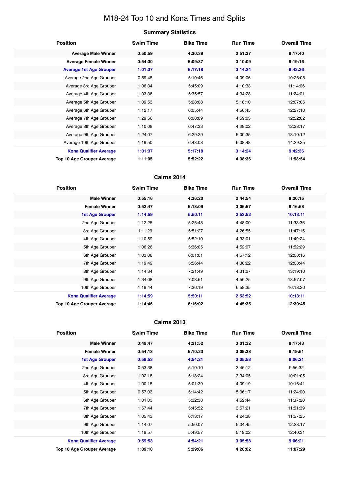# M18-24 Top 10 and Kona Times and Splits

#### **Summary Statistics**

| <b>Position</b>                | <b>Swim Time</b> | <b>Bike Time</b> | <b>Run Time</b> | <b>Overall Time</b> |
|--------------------------------|------------------|------------------|-----------------|---------------------|
| <b>Average Male Winner</b>     | 0:50:59          | 4:30:39          | 2:51:37         | 8:17:40             |
| <b>Average Female Winner</b>   | 0:54:30          | 5:09:37          | 3:10:09         | 9:19:16             |
| <b>Average 1st Age Grouper</b> | 1:01:37          | 5:17:18          | 3:14:24         | 9:42:36             |
| Average 2nd Age Grouper        | 0:59:45          | 5:10:46          | 4:09:06         | 10:26:08            |
| Average 3rd Age Grouper        | 1:06:34          | 5:45:09          | 4:10:33         | 11:14:06            |
| Average 4th Age Grouper        | 1:03:36          | 5:35:57          | 4:34:28         | 11:24:01            |
| Average 5th Age Grouper        | 1:09:53          | 5:28:08          | 5:18:10         | 12:07:06            |
| Average 6th Age Grouper        | 1:12:17          | 6:05:44          | 4:56:45         | 12:27:10            |
| Average 7th Age Grouper        | 1:29:56          | 6:08:09          | 4:59:03         | 12:52:02            |
| Average 8th Age Grouper        | 1:10:08          | 6:47:33          | 4:28:02         | 12:38:17            |
| Average 9th Age Grouper        | 1:24:07          | 6:29:29          | 5:00:35         | 13:10:12            |
| Average 10th Age Grouper       | 1:19:50          | 6:43:08          | 6:08:48         | 14:29:25            |
| <b>Kona Qualifier Average</b>  | 1:01:37          | 5:17:18          | 3:14:24         | 9:42:36             |
| Top 10 Age Grouper Average     | 1:11:05          | 5:52:22          | 4:38:36         | 11:53:54            |

### **Cairns 2014**

| <b>Position</b>               | <b>Swim Time</b> | <b>Bike Time</b> | <b>Run Time</b> | <b>Overall Time</b> |
|-------------------------------|------------------|------------------|-----------------|---------------------|
| <b>Male Winner</b>            | 0:55:16          | 4:36:20          | 2:44:54         | 8:20:15             |
| <b>Female Winner</b>          | 0:52:47          | 5:13:09          | 3:06:57         | 9:16:58             |
| <b>1st Age Grouper</b>        | 1:14:59          | 5:50:11          | 2:53:52         | 10:13:11            |
| 2nd Age Grouper               | 1:12:25          | 5:25:48          | 4:48:00         | 11:33:36            |
| 3rd Age Grouper               | 1:11:29          | 5:51:27          | 4:26:55         | 11:47:15            |
| 4th Age Grouper               | 1:10:59          | 5:52:10          | 4:33:01         | 11:49:24            |
| 5th Age Grouper               | 1:06:26          | 5:36:05          | 4:52:07         | 11:52:29            |
| 6th Age Grouper               | 1:03:08          | 6:01:01          | 4:57:12         | 12:08:16            |
| 7th Age Grouper               | 1:19:49          | 5:56:44          | 4:38:22         | 12:08:44            |
| 8th Age Grouper               | 1:14:34          | 7:21:49          | 4:31:27         | 13:19:10            |
| 9th Age Grouper               | 1:34:08          | 7:08:51          | 4:56:25         | 13:57:07            |
| 10th Age Grouper              | 1:19:44          | 7:36:19          | 6:58:35         | 16:18:20            |
| <b>Kona Qualifier Average</b> | 1:14:59          | 5:50:11          | 2:53:52         | 10:13:11            |
| Top 10 Age Grouper Average    | 1:14:46          | 6:16:02          | 4:45:35         | 12:30:45            |

| <b>Position</b>                   | <b>Swim Time</b> | <b>Bike Time</b> | <b>Run Time</b> | <b>Overall Time</b> |
|-----------------------------------|------------------|------------------|-----------------|---------------------|
| <b>Male Winner</b>                | 0:49:47          | 4:21:52          | 3:01:32         | 8:17:43             |
| <b>Female Winner</b>              | 0:54:13          | 5:10:23          | 3:09:38         | 9:19:51             |
| <b>1st Age Grouper</b>            | 0:59:53          | 4:54:21          | 3:05:58         | 9:06:21             |
| 2nd Age Grouper                   | 0:53:38          | 5:10:10          | 3:46:12         | 9:56:32             |
| 3rd Age Grouper                   | 1:02:18          | 5:18:24          | 3:34:05         | 10:01:05            |
| 4th Age Grouper                   | 1:00:15          | 5:01:39          | 4:09:19         | 10:16:41            |
| 5th Age Grouper                   | 0:57:03          | 5:14:42          | 5:06:17         | 11:24:00            |
| 6th Age Grouper                   | 1:01:03          | 5:32:38          | 4:52:44         | 11:37:20            |
| 7th Age Grouper                   | 1:57:44          | 5:45:52          | 3:57:21         | 11:51:39            |
| 8th Age Grouper                   | 1:05:43          | 6:13:17          | 4:24:38         | 11:57:25            |
| 9th Age Grouper                   | 1:14:07          | 5:50:07          | 5:04:45         | 12:23:17            |
| 10th Age Grouper                  | 1:19:57          | 5:49:57          | 5:19:02         | 12:40:31            |
| <b>Kona Qualifier Average</b>     | 0:59:53          | 4:54:21          | 3:05:58         | 9:06:21             |
| <b>Top 10 Age Grouper Average</b> | 1:09:10          | 5:29:06          | 4:20:02         | 11:07:29            |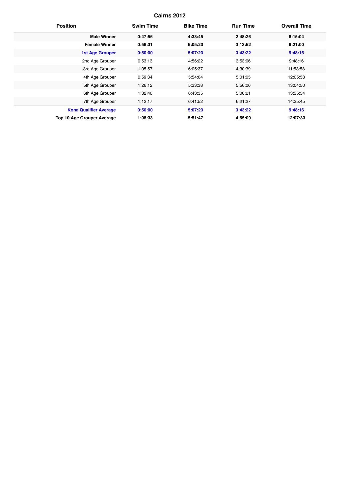| <b>Position</b>               | <b>Swim Time</b> | <b>Bike Time</b> | <b>Run Time</b> | <b>Overall Time</b> |
|-------------------------------|------------------|------------------|-----------------|---------------------|
| <b>Male Winner</b>            | 0:47:56          | 4:33:45          | 2:48:26         | 8:15:04             |
| <b>Female Winner</b>          | 0:56:31          | 5:05:20          | 3:13:52         | 9:21:00             |
| <b>1st Age Grouper</b>        | 0:50:00          | 5:07:23          | 3:43:22         | 9:48:16             |
| 2nd Age Grouper               | 0:53:13          | 4:56:22          | 3:53:06         | 9:48:16             |
| 3rd Age Grouper               | 1:05:57          | 6:05:37          | 4:30:39         | 11:53:58            |
| 4th Age Grouper               | 0:59:34          | 5:54:04          | 5:01:05         | 12:05:58            |
| 5th Age Grouper               | 1:26:12          | 5:33:38          | 5:56:06         | 13:04:50            |
| 6th Age Grouper               | 1:32:40          | 6:43:35          | 5:00:21         | 13:35:54            |
| 7th Age Grouper               | 1:12:17          | 6:41:52          | 6:21:27         | 14:35:45            |
| <b>Kona Qualifier Average</b> | 0:50:00          | 5:07:23          | 3:43:22         | 9:48:16             |
| Top 10 Age Grouper Average    | 1:08:33          | 5:51:47          | 4:55:09         | 12:07:33            |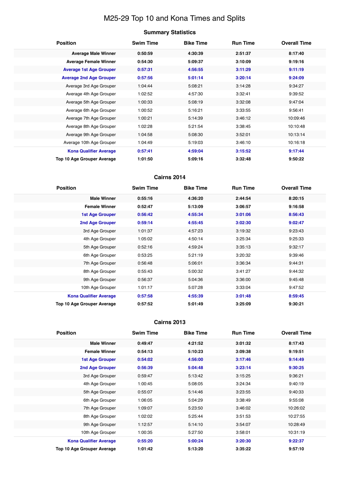# M25-29 Top 10 and Kona Times and Splits

# **Summary Statistics**

| <b>Position</b>                | <b>Swim Time</b> | <b>Bike Time</b> | <b>Run Time</b> | <b>Overall Time</b> |
|--------------------------------|------------------|------------------|-----------------|---------------------|
| <b>Average Male Winner</b>     | 0:50:59          | 4:30:39          | 2:51:37         | 8:17:40             |
| <b>Average Female Winner</b>   | 0:54:30          | 5:09:37          | 3:10:09         | 9:19:16             |
| <b>Average 1st Age Grouper</b> | 0:57:31          | 4:56:55          | 3:11:29         | 9:11:19             |
| <b>Average 2nd Age Grouper</b> | 0:57:56          | 5:01:14          | 3:20:14         | 9:24:09             |
| Average 3rd Age Grouper        | 1:04:44          | 5:08:21          | 3:14:28         | 9:34:27             |
| Average 4th Age Grouper        | 1:02:52          | 4:57:30          | 3:32:41         | 9:39:52             |
| Average 5th Age Grouper        | 1:00:33          | 5:08:19          | 3:32:08         | 9:47:04             |
| Average 6th Age Grouper        | 1:00:52          | 5:16:21          | 3:33:55         | 9:56:41             |
| Average 7th Age Grouper        | 1:00:21          | 5:14:39          | 3:46:12         | 10:09:46            |
| Average 8th Age Grouper        | 1:02:28          | 5:21:54          | 3:38:45         | 10:10:48            |
| Average 9th Age Grouper        | 1:04:58          | 5:08:30          | 3:52:01         | 10:13:14            |
| Average 10th Age Grouper       | 1:04:49          | 5:19:03          | 3:46:10         | 10:16:18            |
| <b>Kona Qualifier Average</b>  | 0:57:41          | 4:59:04          | 3:15:52         | 9:17:44             |
| Top 10 Age Grouper Average     | 1:01:50          | 5:09:16          | 3:32:48         | 9:50:22             |

### **Cairns 2014**

| <b>Position</b>               | <b>Swim Time</b> | <b>Bike Time</b> | <b>Run Time</b> | <b>Overall Time</b> |
|-------------------------------|------------------|------------------|-----------------|---------------------|
| <b>Male Winner</b>            | 0:55:16          | 4:36:20          | 2:44:54         | 8:20:15             |
| <b>Female Winner</b>          | 0:52:47          | 5:13:09          | 3:06:57         | 9:16:58             |
| <b>1st Age Grouper</b>        | 0:56:42          | 4:55:34          | 3:01:06         | 8:56:43             |
| 2nd Age Grouper               | 0:59:14          | 4:55:45          | 3:02:30         | 9:02:47             |
| 3rd Age Grouper               | 1:01:37          | 4:57:23          | 3:19:32         | 9:23:43             |
| 4th Age Grouper               | 1:05:02          | 4:50:14          | 3:25:34         | 9:25:33             |
| 5th Age Grouper               | 0:52:16          | 4:59:24          | 3:35:13         | 9:32:17             |
| 6th Age Grouper               | 0:53:25          | 5:21:19          | 3:20:32         | 9:39:46             |
| 7th Age Grouper               | 0:56:48          | 5:06:01          | 3:36:34         | 9:44:31             |
| 8th Age Grouper               | 0:55:43          | 5:00:32          | 3:41:27         | 9:44:32             |
| 9th Age Grouper               | 0:56:37          | 5:04:36          | 3:36:00         | 9:45:48             |
| 10th Age Grouper              | 1:01:17          | 5:07:28          | 3:33:04         | 9:47:52             |
| <b>Kona Qualifier Average</b> | 0:57:58          | 4:55:39          | 3:01:48         | 8:59:45             |
| Top 10 Age Grouper Average    | 0:57:52          | 5:01:49          | 3:25:09         | 9:30:21             |

| <b>Position</b>               | <b>Swim Time</b> | <b>Bike Time</b> | <b>Run Time</b> | <b>Overall Time</b> |
|-------------------------------|------------------|------------------|-----------------|---------------------|
| <b>Male Winner</b>            | 0:49:47          | 4:21:52          | 3:01:32         | 8:17:43             |
| <b>Female Winner</b>          | 0:54:13          | 5:10:23          | 3:09:38         | 9:19:51             |
| <b>1st Age Grouper</b>        | 0:54:02          | 4:56:00          | 3:17:46         | 9:14:49             |
| <b>2nd Age Grouper</b>        | 0:56:39          | 5:04:48          | 3:23:14         | 9:30:25             |
| 3rd Age Grouper               | 0:59:47          | 5:13:42          | 3:15:25         | 9:36:21             |
| 4th Age Grouper               | 1:00:45          | 5:08:05          | 3:24:34         | 9:40:19             |
| 5th Age Grouper               | 0:55:07          | 5:14:46          | 3:23:55         | 9:40:33             |
| 6th Age Grouper               | 1:06:05          | 5:04:29          | 3:38:49         | 9:55:08             |
| 7th Age Grouper               | 1:09:07          | 5:23:50          | 3:46:02         | 10:26:02            |
| 8th Age Grouper               | 1:02:02          | 5:25:44          | 3:51:53         | 10:27:55            |
| 9th Age Grouper               | 1:12:57          | 5:14:10          | 3:54:07         | 10:28:49            |
| 10th Age Grouper              | 1:00:35          | 5:27:50          | 3:58:01         | 10:31:19            |
| <b>Kona Qualifier Average</b> | 0:55:20          | 5:00:24          | 3:20:30         | 9:22:37             |
| Top 10 Age Grouper Average    | 1:01:42          | 5:13:20          | 3:35:22         | 9:57:10             |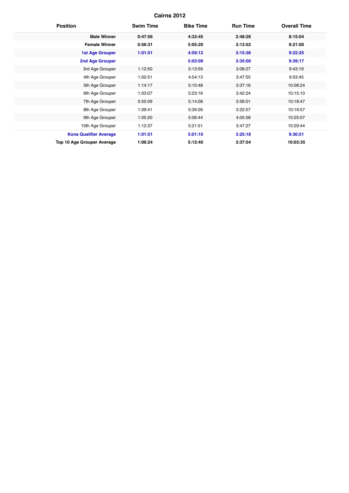| <b>Position</b>                   | <b>Swim Time</b> | <b>Bike Time</b> | <b>Run Time</b> | <b>Overall Time</b> |
|-----------------------------------|------------------|------------------|-----------------|---------------------|
| <b>Male Winner</b>                | 0:47:56          | 4:33:45          | 2:48:26         | 8:15:04             |
| <b>Female Winner</b>              | 0:56:31          | 5:05:20          | 3:13:52         | 9:21:00             |
| <b>1st Age Grouper</b>            | 1:01:51          | 4:59:12          | 3:15:36         | 9:22:25             |
| <b>2nd Age Grouper</b>            |                  | 5:03:09          | 3:35:00         | 9:39:17             |
| 3rd Age Grouper                   | 1:12:50          | 5:13:59          | 3:08:27         | 9:43:19             |
| 4th Age Grouper                   | 1:02:51          | 4:54:13          | 3:47:55         | 9:53:45             |
| 5th Age Grouper                   | 1:14:17          | 5:10:48          | 3:37:16         | 10:08:24            |
| 6th Age Grouper                   | 1:03:07          | 5:23:16          | 3:42:24         | 10:15:10            |
| 7th Age Grouper                   | 0:55:09          | 5:14:08          | 3:56:01         | 10:18:47            |
| 8th Age Grouper                   | 1:09:41          | 5:39:26          | 3:22:57         | 10:19:57            |
| 9th Age Grouper                   | 1:05:20          | 5:06:44          | 4:05:58         | 10:25:07            |
| 10th Age Grouper                  | 1:12:37          | 5:21:51          | 3:47:27         | 10:29:44            |
| <b>Kona Qualifier Average</b>     | 1:01:51          | 5:01:10          | 3:25:18         | 9:30:51             |
| <b>Top 10 Age Grouper Average</b> | 1:06:24          | 5:12:40          | 3:37:54         | 10:03:35            |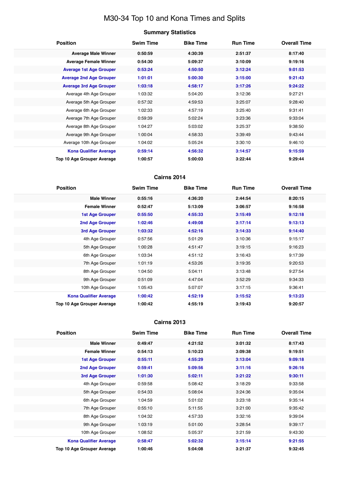# M30-34 Top 10 and Kona Times and Splits

### **Summary Statistics**

| <b>Position</b>                | <b>Swim Time</b> | <b>Bike Time</b> | <b>Run Time</b> | <b>Overall Time</b> |
|--------------------------------|------------------|------------------|-----------------|---------------------|
| <b>Average Male Winner</b>     | 0:50:59          | 4:30:39          | 2:51:37         | 8:17:40             |
| <b>Average Female Winner</b>   | 0:54:30          | 5:09:37          | 3:10:09         | 9:19:16             |
| <b>Average 1st Age Grouper</b> | 0:53:24          | 4:50:50          | 3:12:24         | 9:01:53             |
| <b>Average 2nd Age Grouper</b> | 1:01:01          | 5:00:30          | 3:15:00         | 9:21:43             |
| <b>Average 3rd Age Grouper</b> | 1:03:18          | 4:58:17          | 3:17:26         | 9:24:22             |
| Average 4th Age Grouper        | 1:03:32          | 5:04:20          | 3:12:36         | 9:27:21             |
| Average 5th Age Grouper        | 0:57:32          | 4:59:53          | 3:25:07         | 9:28:40             |
| Average 6th Age Grouper        | 1:02:33          | 4:57:19          | 3:25:40         | 9:31:41             |
| Average 7th Age Grouper        | 0:59:39          | 5:02:24          | 3:23:36         | 9:33:04             |
| Average 8th Age Grouper        | 1:04:27          | 5:03:02          | 3:25:37         | 9:38:50             |
| Average 9th Age Grouper        | 1:00:04          | 4:58:33          | 3:39:49         | 9:43:44             |
| Average 10th Age Grouper       | 1:04:02          | 5:05:24          | 3:30:10         | 9:46:10             |
| <b>Kona Qualifier Average</b>  | 0:59:14          | 4:56:32          | 3:14:57         | 9:15:59             |
| Top 10 Age Grouper Average     | 1:00:57          | 5:00:03          | 3:22:44         | 9:29:44             |

#### **Cairns 2014**

| <b>Position</b>               | <b>Swim Time</b> | <b>Bike Time</b> | <b>Run Time</b> | <b>Overall Time</b> |
|-------------------------------|------------------|------------------|-----------------|---------------------|
| <b>Male Winner</b>            | 0:55:16          | 4:36:20          | 2:44:54         | 8:20:15             |
| <b>Female Winner</b>          | 0:52:47          | 5:13:09          | 3:06:57         | 9:16:58             |
| <b>1st Age Grouper</b>        | 0:55:50          | 4:55:33          | 3:15:49         | 9:12:18             |
| 2nd Age Grouper               | 1:02:46          | 4:49:08          | 3:17:14         | 9:13:13             |
| 3rd Age Grouper               | 1:03:32          | 4:52:16          | 3:14:33         | 9:14:40             |
| 4th Age Grouper               | 0:57:56          | 5:01:29          | 3:10:36         | 9:15:17             |
| 5th Age Grouper               | 1:00:28          | 4:51:47          | 3:19:15         | 9:16:23             |
| 6th Age Grouper               | 1:03:34          | 4:51:12          | 3:16:43         | 9:17:39             |
| 7th Age Grouper               | 1:01:19          | 4:53:26          | 3:19:35         | 9:20:53             |
| 8th Age Grouper               | 1:04:50          | 5:04:11          | 3:13:48         | 9:27:54             |
| 9th Age Grouper               | 0:51:09          | 4:47:04          | 3:52:29         | 9:34:33             |
| 10th Age Grouper              | 1:05:43          | 5:07:07          | 3:17:15         | 9:36:41             |
| <b>Kona Qualifier Average</b> | 1:00:42          | 4:52:19          | 3:15:52         | 9:13:23             |
| Top 10 Age Grouper Average    | 1:00:42          | 4:55:19          | 3:19:43         | 9:20:57             |

| <b>Position</b>               | <b>Swim Time</b> | <b>Bike Time</b> | <b>Run Time</b> | <b>Overall Time</b> |
|-------------------------------|------------------|------------------|-----------------|---------------------|
| <b>Male Winner</b>            | 0:49:47          | 4:21:52          | 3:01:32         | 8:17:43             |
| <b>Female Winner</b>          | 0:54:13          | 5:10:23          | 3:09:38         | 9:19:51             |
| <b>1st Age Grouper</b>        | 0:55:11          | 4:55:29          | 3:13:04         | 9:09:18             |
| <b>2nd Age Grouper</b>        | 0:59:41          | 5:09:56          | 3:11:16         | 9:26:16             |
| 3rd Age Grouper               | 1:01:30          | 5:02:11          | 3:21:22         | 9:30:11             |
| 4th Age Grouper               | 0:59:58          | 5:08:42          | 3:18:29         | 9:33:58             |
| 5th Age Grouper               | 0:54:33          | 5:08:04          | 3:24:36         | 9:35:04             |
| 6th Age Grouper               | 1:04:59          | 5:01:02          | 3:23:18         | 9:35:14             |
| 7th Age Grouper               | 0:55:10          | 5:11:55          | 3:21:00         | 9:35:42             |
| 8th Age Grouper               | 1:04:32          | 4:57:33          | 3:32:16         | 9:39:04             |
| 9th Age Grouper               | 1:03:19          | 5:01:00          | 3:28:54         | 9:39:17             |
| 10th Age Grouper              | 1:08:52          | 5:05:37          | 3:21:59         | 9:43:30             |
| <b>Kona Qualifier Average</b> | 0:58:47          | 5:02:32          | 3:15:14         | 9:21:55             |
| Top 10 Age Grouper Average    | 1:00:46          | 5:04:08          | 3:21:37         | 9:32:45             |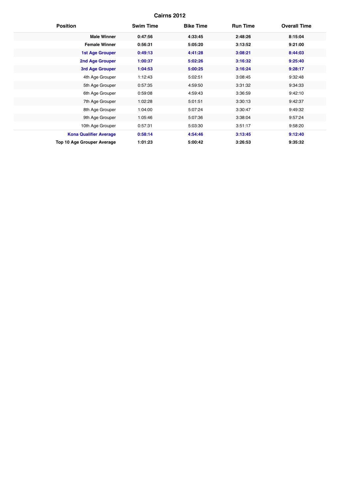| <b>Position</b>               | <b>Swim Time</b> | <b>Bike Time</b> | <b>Run Time</b> | <b>Overall Time</b> |
|-------------------------------|------------------|------------------|-----------------|---------------------|
| <b>Male Winner</b>            | 0:47:56          | 4:33:45          | 2:48:26         | 8:15:04             |
| <b>Female Winner</b>          | 0:56:31          | 5:05:20          | 3:13:52         | 9:21:00             |
| <b>1st Age Grouper</b>        | 0:49:13          | 4:41:28          | 3:08:21         | 8:44:03             |
| <b>2nd Age Grouper</b>        | 1:00:37          | 5:02:26          | 3:16:32         | 9:25:40             |
| 3rd Age Grouper               | 1:04:53          | 5:00:25          | 3:16:24         | 9:28:17             |
| 4th Age Grouper               | 1:12:43          | 5:02:51          | 3:08:45         | 9:32:48             |
| 5th Age Grouper               | 0:57:35          | 4:59:50          | 3:31:32         | 9:34:33             |
| 6th Age Grouper               | 0:59:08          | 4:59:43          | 3:36:59         | 9:42:10             |
| 7th Age Grouper               | 1:02:28          | 5:01:51          | 3:30:13         | 9:42:37             |
| 8th Age Grouper               | 1:04:00          | 5:07:24          | 3:30:47         | 9:49:32             |
| 9th Age Grouper               | 1:05:46          | 5:07:36          | 3:38:04         | 9:57:24             |
| 10th Age Grouper              | 0:57:31          | 5:03:30          | 3:51:17         | 9:58:20             |
| <b>Kona Qualifier Average</b> | 0:58:14          | 4:54:46          | 3:13:45         | 9:12:40             |
| Top 10 Age Grouper Average    | 1:01:23          | 5:00:42          | 3:26:53         | 9:35:32             |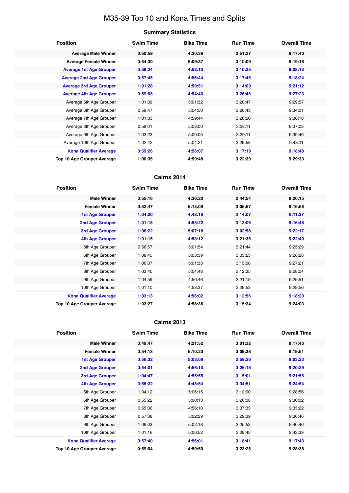# M35-39 Top 10 and Kona Times and Splits

### **Summary Statistics**

| <b>Position</b>                | <b>Swim Time</b> | <b>Bike Time</b> | <b>Run Time</b> | <b>Overall Time</b> |
|--------------------------------|------------------|------------------|-----------------|---------------------|
| <b>Average Male Winner</b>     | 0:50:59          | 4:30:39          | 2:51:37         | 8:17:40             |
| <b>Average Female Winner</b>   | 0:54:30          | 5:09:37          | 3:10:09         | 9:19:16             |
| <b>Average 1st Age Grouper</b> | 0:59:24          | 4:53:13          | 3:10:35         | 9:08:13             |
| <b>Average 2nd Age Grouper</b> | 0:57:45          | 4:56:44          | 3:17:45         | 9:18:24             |
| <b>Average 3rd Age Grouper</b> | 1:01:28          | 4:59:51          | 3:14:09         | 9:21:12             |
| <b>Average 4th Age Grouper</b> | 0:59:08          | 4:54:40          | 3:26:48         | 9:27:23             |
| Average 5th Age Grouper        | 1:01:39          | 5:01:32          | 3:20:47         | 9:29:57             |
| Average 6th Age Grouper        | 0:59:47          | 5:04:50          | 3:20:43         | 9:34:01             |
| Average 7th Age Grouper        | 1:01:33          | 4:59:44          | 3:28:26         | 9:36:18             |
| Average 8th Age Grouper        | 0:59:01          | 5:03:00          | 3:28:11         | 9:37:03             |
| Average 9th Age Grouper        | 1:03:23          | 5:00:05          | 3:29:11         | 9:39:46             |
| Average 10th Age Grouper       | 1:02:42          | 5:04:21          | 3:29:58         | 9:43:11             |
| <b>Kona Qualifier Average</b>  | 0:59:26          | 4:56:07          | 3:17:19         | 9:18:48             |
| Top 10 Age Grouper Average     | 1:00:35          | 4:59:48          | 3:22:39         | 9:29:33             |

### **Cairns 2014**

| <b>Position</b>                   | <b>Swim Time</b> | <b>Bike Time</b> | <b>Run Time</b> | <b>Overall Time</b> |
|-----------------------------------|------------------|------------------|-----------------|---------------------|
| <b>Male Winner</b>                | 0:55:16          | 4:36:20          | 2:44:54         | 8:20:15             |
| <b>Female Winner</b>              | 0:52:47          | 5:13:09          | 3:06:57         | 9:16:58             |
| 1st Age Grouper                   | 1:04:00          | 4:48:16          | 3:14:07         | 9:11:37             |
| <b>2nd Age Grouper</b>            | 1:01:18          | 4:55:22          | 3:13:06         | 9:16:48             |
| 3rd Age Grouper                   | 1:06:22          | 5:07:18          | 3:02:58         | 9:22:17             |
| 4th Age Grouper                   | 1:01:15          | 4:53:12          | 3:21:35         | 9:22:40             |
| 5th Age Grouper                   | 0:56:57          | 5:01:54          | 3:21:44         | 9:25:29             |
| 6th Age Grouper                   | 1:08:45          | 5:03:39          | 3:03:23         | 9:26:28             |
| 7th Age Grouper                   | 1:06:07          | 5:01:33          | 3:15:08         | 9:27:21             |
| 8th Age Grouper                   | 1:03:40          | 5:04:48          | 3:12:35         | 9:28:04             |
| 9th Age Grouper                   | 1:04:59          | 4:56:46          | 3:21:19         | 9:29:51             |
| 10th Age Grouper                  | 1:01:10          | 4:53:37          | 3:29:53         | 9:29:56             |
| <b>Kona Qualifier Average</b>     | 1:03:13          | 4:56:02          | 3:12:56         | 9:18:20             |
| <b>Top 10 Age Grouper Average</b> | 1:03:27          | 4:58:38          | 3:15:34         | 9:24:03             |

| <b>Position</b>               | <b>Swim Time</b> | <b>Bike Time</b> | <b>Run Time</b> | <b>Overall Time</b> |
|-------------------------------|------------------|------------------|-----------------|---------------------|
| <b>Male Winner</b>            | 0:49:47          | 4:21:52          | 3:01:32         | 8:17:43             |
| <b>Female Winner</b>          | 0:54:13          | 5:10:23          | 3:09:38         | 9:19:51             |
| <b>1st Age Grouper</b>        | 0:56:32          | 5:03:08          | 2:59:36         | 9:03:23             |
| <b>2nd Age Grouper</b>        | 0:54:01          | 4:56:10          | 3:25:18         | 9:20:39             |
| 3rd Age Grouper               | 1:04:47          | 4:55:55          | 3:15:01         | 9:21:56             |
| 4th Age Grouper               | 0:55:22          | 4:48:54          | 3:34:51         | 9:24:54             |
| 5th Age Grouper               | 1:04:12          | 5:06:15          | 3:12:00         | 9:28:56             |
| 6th Age Grouper               | 0:55:22          | 5:00:13          | 3:26:08         | 9:30:02             |
| 7th Age Grouper               | 0:55:36          | 4:56:10          | 3:37:35         | 9:35:22             |
| 8th Age Grouper               | 0:57:38          | 5:02:29          | 3:29:39         | 9:36:46             |
| 9th Age Grouper               | 1:06:03          | 5:02:18          | 3:25:53         | 9:40:46             |
| 10th Age Grouper              | 1:01:16          | 5:06:52          | 3:28:45         | 9:43:39             |
| <b>Kona Qualifier Average</b> | 0:57:40          | 4:56:01          | 3:18:41         | 9:17:43             |
| Top 10 Age Grouper Average    | 0:59:04          | 4:59:50          | 3:23:28         | 9:28:38             |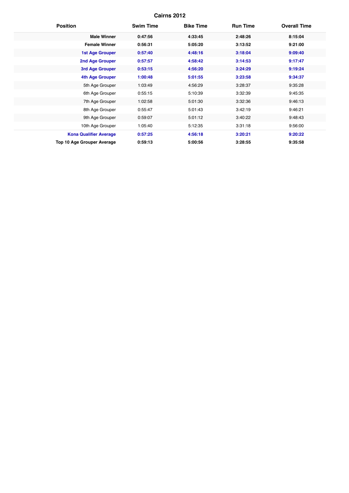| <b>Position</b>                   | <b>Swim Time</b> | <b>Bike Time</b> | <b>Run Time</b> | <b>Overall Time</b> |
|-----------------------------------|------------------|------------------|-----------------|---------------------|
| <b>Male Winner</b>                | 0:47:56          | 4:33:45          | 2:48:26         | 8:15:04             |
| <b>Female Winner</b>              | 0:56:31          | 5:05:20          | 3:13:52         | 9:21:00             |
| <b>1st Age Grouper</b>            | 0:57:40          | 4:48:16          | 3:18:04         | 9:09:40             |
| <b>2nd Age Grouper</b>            | 0:57:57          | 4:58:42          | 3:14:53         | 9:17:47             |
| 3rd Age Grouper                   | 0:53:15          | 4:56:20          | 3:24:29         | 9:19:24             |
| <b>4th Age Grouper</b>            | 1:00:48          | 5:01:55          | 3:23:58         | 9:34:37             |
| 5th Age Grouper                   | 1:03:49          | 4:56:29          | 3:28:37         | 9:35:28             |
| 6th Age Grouper                   | 0:55:15          | 5:10:39          | 3:32:39         | 9:45:35             |
| 7th Age Grouper                   | 1:02:58          | 5:01:30          | 3:32:36         | 9:46:13             |
| 8th Age Grouper                   | 0:55:47          | 5:01:43          | 3:42:19         | 9:46:21             |
| 9th Age Grouper                   | 0:59:07          | 5:01:12          | 3:40:22         | 9:48:43             |
| 10th Age Grouper                  | 1:05:40          | 5:12:35          | 3:31:18         | 9:56:00             |
| <b>Kona Qualifier Average</b>     | 0:57:25          | 4:56:18          | 3:20:21         | 9:20:22             |
| <b>Top 10 Age Grouper Average</b> | 0:59:13          | 5:00:56          | 3:28:55         | 9:35:58             |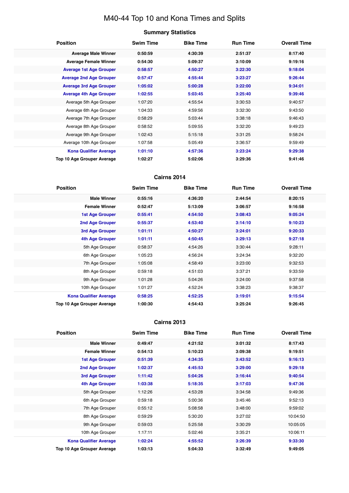# M40-44 Top 10 and Kona Times and Splits

#### **Summary Statistics**

| <b>Position</b>                | <b>Swim Time</b> | <b>Bike Time</b> | <b>Run Time</b> | <b>Overall Time</b> |
|--------------------------------|------------------|------------------|-----------------|---------------------|
| <b>Average Male Winner</b>     | 0:50:59          | 4:30:39          | 2:51:37         | 8:17:40             |
| <b>Average Female Winner</b>   | 0:54:30          | 5:09:37          | 3:10:09         | 9:19:16             |
| <b>Average 1st Age Grouper</b> | 0:58:57          | 4:50:27          | 3:22:30         | 9:18:04             |
| <b>Average 2nd Age Grouper</b> | 0:57:47          | 4:55:44          | 3:23:27         | 9:26:44             |
| <b>Average 3rd Age Grouper</b> | 1:05:02          | 5:00:28          | 3:22:00         | 9:34:01             |
| <b>Average 4th Age Grouper</b> | 1:02:55          | 5:03:45          | 3:25:40         | 9:39:46             |
| Average 5th Age Grouper        | 1:07:20          | 4:55:54          | 3:30:53         | 9:40:57             |
| Average 6th Age Grouper        | 1:04:33          | 4:59:56          | 3:32:30         | 9:43:50             |
| Average 7th Age Grouper        | 0:58:29          | 5:03:44          | 3:38:18         | 9:46:43             |
| Average 8th Age Grouper        | 0:58:52          | 5:09:55          | 3:32:20         | 9:49:23             |
| Average 9th Age Grouper        | 1:02:43          | 5:15:18          | 3:31:25         | 9:58:24             |
| Average 10th Age Grouper       | 1:07:58          | 5:05:49          | 3:36:57         | 9:59:49             |
| <b>Kona Qualifier Average</b>  | 1:01:10          | 4:57:36          | 3:23:24         | 9:29:38             |
| Top 10 Age Grouper Average     | 1:02:27          | 5:02:06          | 3:29:36         | 9:41:46             |

### **Cairns 2014**

| <b>Position</b>               | <b>Swim Time</b> | <b>Bike Time</b> | <b>Run Time</b> | <b>Overall Time</b> |
|-------------------------------|------------------|------------------|-----------------|---------------------|
| <b>Male Winner</b>            | 0:55:16          | 4:36:20          | 2:44:54         | 8:20:15             |
| <b>Female Winner</b>          | 0:52:47          | 5:13:09          | 3:06:57         | 9:16:58             |
| <b>1st Age Grouper</b>        | 0:55:41          | 4:54:50          | 3:08:43         | 9:05:24             |
| 2nd Age Grouper               | 0:55:37          | 4:53:40          | 3:14:10         | 9:10:23             |
| 3rd Age Grouper               | 1:01:11          | 4:50:27          | 3:24:01         | 9:20:33             |
| <b>4th Age Grouper</b>        | 1:01:11          | 4:50:45          | 3:29:13         | 9:27:18             |
| 5th Age Grouper               | 0:58:37          | 4:54:26          | 3:30:44         | 9:28:11             |
| 6th Age Grouper               | 1:05:23          | 4:56:24          | 3:24:34         | 9:32:20             |
| 7th Age Grouper               | 1:05:08          | 4:58:49          | 3:23:00         | 9:32:53             |
| 8th Age Grouper               | 0:59:18          | 4:51:03          | 3:37:21         | 9:33:59             |
| 9th Age Grouper               | 1:01:28          | 5:04:26          | 3:24:00         | 9:37:58             |
| 10th Age Grouper              | 1:01:27          | 4:52:24          | 3:38:23         | 9:38:37             |
| <b>Kona Qualifier Average</b> | 0:58:25          | 4:52:25          | 3:19:01         | 9:15:54             |
| Top 10 Age Grouper Average    | 1:00:30          | 4:54:43          | 3:25:24         | 9:26:45             |

| <b>Position</b>                   | <b>Swim Time</b> | <b>Bike Time</b> | <b>Run Time</b> | <b>Overall Time</b> |
|-----------------------------------|------------------|------------------|-----------------|---------------------|
| <b>Male Winner</b>                | 0:49:47          | 4:21:52          | 3:01:32         | 8:17:43             |
| <b>Female Winner</b>              | 0:54:13          | 5:10:23          | 3:09:38         | 9:19:51             |
| <b>1st Age Grouper</b>            | 0:51:39          | 4:34:35          | 3:43:52         | 9:16:13             |
| 2nd Age Grouper                   | 1:02:37          | 4:45:53          | 3:29:00         | 9:29:18             |
| 3rd Age Grouper                   | 1:11:42          | 5:04:26          | 3:16:44         | 9:40:54             |
| 4th Age Grouper                   | 1:03:38          | 5:18:35          | 3:17:03         | 9:47:36             |
| 5th Age Grouper                   | 1:12:26          | 4:53:28          | 3:34:58         | 9:49:36             |
| 6th Age Grouper                   | 0:59:18          | 5:00:36          | 3:45:46         | 9:52:13             |
| 7th Age Grouper                   | 0:55:12          | 5:08:58          | 3:48:00         | 9:59:02             |
| 8th Age Grouper                   | 0:59:29          | 5:30:20          | 3:27:02         | 10:04:50            |
| 9th Age Grouper                   | 0:59:03          | 5:25:58          | 3:30:29         | 10:05:05            |
| 10th Age Grouper                  | 1:17:11          | 5:02:46          | 3:35:21         | 10:06:11            |
| <b>Kona Qualifier Average</b>     | 1:02:24          | 4:55:52          | 3:26:39         | 9:33:30             |
| <b>Top 10 Age Grouper Average</b> | 1:03:13          | 5:04:33          | 3:32:49         | 9:49:05             |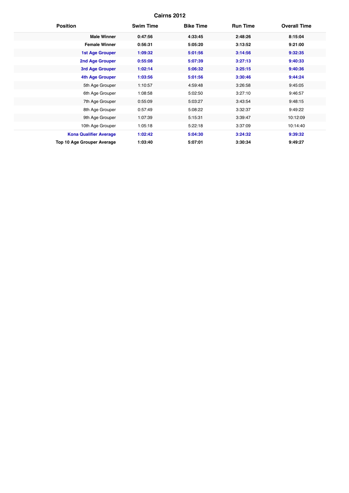| <b>Position</b>               | <b>Swim Time</b> | <b>Bike Time</b> | <b>Run Time</b> | <b>Overall Time</b> |
|-------------------------------|------------------|------------------|-----------------|---------------------|
| <b>Male Winner</b>            | 0:47:56          | 4:33:45          | 2:48:26         | 8:15:04             |
| <b>Female Winner</b>          | 0:56:31          | 5:05:20          | 3:13:52         | 9:21:00             |
| <b>1st Age Grouper</b>        | 1:09:32          | 5:01:56          | 3:14:56         | 9:32:35             |
| <b>2nd Age Grouper</b>        | 0:55:08          | 5:07:39          | 3:27:13         | 9:40:33             |
| 3rd Age Grouper               | 1:02:14          | 5:06:32          | 3:25:15         | 9:40:36             |
| <b>4th Age Grouper</b>        | 1:03:56          | 5:01:56          | 3:30:46         | 9:44:24             |
| 5th Age Grouper               | 1:10:57          | 4:59:48          | 3:26:58         | 9:45:05             |
| 6th Age Grouper               | 1:08:58          | 5:02:50          | 3:27:10         | 9:46:57             |
| 7th Age Grouper               | 0:55:09          | 5:03:27          | 3:43:54         | 9:48:15             |
| 8th Age Grouper               | 0:57:49          | 5:08:22          | 3:32:37         | 9:49:22             |
| 9th Age Grouper               | 1:07:39          | 5:15:31          | 3:39:47         | 10:12:09            |
| 10th Age Grouper              | 1:05:18          | 5:22:18          | 3:37:09         | 10:14:40            |
| <b>Kona Qualifier Average</b> | 1:02:42          | 5:04:30          | 3:24:32         | 9:39:32             |
| Top 10 Age Grouper Average    | 1:03:40          | 5:07:01          | 3:30:34         | 9:49:27             |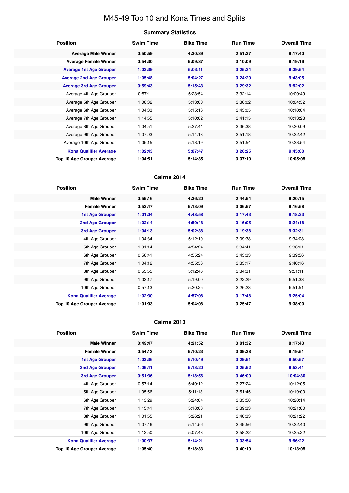# M45-49 Top 10 and Kona Times and Splits

#### **Summary Statistics**

| <b>Position</b>                   | <b>Swim Time</b> | <b>Bike Time</b> | <b>Run Time</b> | <b>Overall Time</b> |
|-----------------------------------|------------------|------------------|-----------------|---------------------|
| <b>Average Male Winner</b>        | 0:50:59          | 4:30:39          | 2:51:37         | 8:17:40             |
| <b>Average Female Winner</b>      | 0:54:30          | 5:09:37          | 3:10:09         | 9:19:16             |
| <b>Average 1st Age Grouper</b>    | 1:02:39          | 5:03:11          | 3:25:24         | 9:39:54             |
| <b>Average 2nd Age Grouper</b>    | 1:05:48          | 5:04:27          | 3:24:20         | 9:43:05             |
| <b>Average 3rd Age Grouper</b>    | 0:59:43          | 5:15:43          | 3:29:32         | 9:52:02             |
| Average 4th Age Grouper           | 0:57:11          | 5:23:54          | 3:32:14         | 10:00:49            |
| Average 5th Age Grouper           | 1:06:32          | 5:13:00          | 3:36:02         | 10:04:52            |
| Average 6th Age Grouper           | 1:04:33          | 5:15:16          | 3:43:05         | 10:10:04            |
| Average 7th Age Grouper           | 1:14:55          | 5:10:02          | 3:41:15         | 10:13:23            |
| Average 8th Age Grouper           | 1:04:51          | 5:27:44          | 3:36:38         | 10:20:09            |
| Average 9th Age Grouper           | 1:07:03          | 5:14:13          | 3:51:18         | 10:22:42            |
| Average 10th Age Grouper          | 1:05:15          | 5:18:19          | 3:51:54         | 10:23:54            |
| <b>Kona Qualifier Average</b>     | 1:02:43          | 5:07:47          | 3:26:25         | 9:45:00             |
| <b>Top 10 Age Grouper Average</b> | 1:04:51          | 5:14:35          | 3:37:10         | 10:05:05            |

### **Cairns 2014**

| <b>Position</b>                   | <b>Swim Time</b> | <b>Bike Time</b> | <b>Run Time</b> | <b>Overall Time</b> |
|-----------------------------------|------------------|------------------|-----------------|---------------------|
| <b>Male Winner</b>                | 0:55:16          | 4:36:20          | 2:44:54         | 8:20:15             |
| <b>Female Winner</b>              | 0:52:47          | 5:13:09          | 3:06:57         | 9:16:58             |
| 1st Age Grouper                   | 1:01:04          | 4:48:58          | 3:17:43         | 9:18:23             |
| 2nd Age Grouper                   | 1:02:14          | 4:59:48          | 3:16:05         | 9:24:18             |
| 3rd Age Grouper                   | 1:04:13          | 5:02:38          | 3:19:38         | 9:32:31             |
| 4th Age Grouper                   | 1:04:34          | 5:12:10          | 3:09:38         | 9:34:08             |
| 5th Age Grouper                   | 1:01:14          | 4:54:24          | 3:34:41         | 9:36:01             |
| 6th Age Grouper                   | 0:56:41          | 4:55:24          | 3:43:33         | 9:39:56             |
| 7th Age Grouper                   | 1:04:12          | 4:55:56          | 3:33:17         | 9:40:16             |
| 8th Age Grouper                   | 0:55:55          | 5:12:46          | 3:34:31         | 9:51:11             |
| 9th Age Grouper                   | 1:03:17          | 5:19:00          | 3:22:29         | 9:51:33             |
| 10th Age Grouper                  | 0:57:13          | 5:20:25          | 3:26:23         | 9:51:51             |
| <b>Kona Qualifier Average</b>     | 1:02:30          | 4:57:08          | 3:17:48         | 9:25:04             |
| <b>Top 10 Age Grouper Average</b> | 1:01:03          | 5:04:08          | 3:25:47         | 9:38:00             |

| <b>Position</b>               | <b>Swim Time</b> | <b>Bike Time</b> | <b>Run Time</b> | <b>Overall Time</b> |
|-------------------------------|------------------|------------------|-----------------|---------------------|
| <b>Male Winner</b>            | 0:49:47          | 4:21:52          | 3:01:32         | 8:17:43             |
| <b>Female Winner</b>          | 0:54:13          | 5:10:23          | 3:09:38         | 9:19:51             |
| <b>1st Age Grouper</b>        | 1:03:36          | 5:10:49          | 3:29:51         | 9:50:57             |
| <b>2nd Age Grouper</b>        | 1:06:41          | 5:13:20          | 3:25:52         | 9:53:41             |
| 3rd Age Grouper               | 0:51:36          | 5:18:56          | 3:46:00         | 10:04:30            |
| 4th Age Grouper               | 0:57:14          | 5:40:12          | 3:27:24         | 10:12:05            |
| 5th Age Grouper               | 1:05:56          | 5:11:13          | 3:51:45         | 10:19:00            |
| 6th Age Grouper               | 1:13:29          | 5:24:04          | 3:33:58         | 10:20:14            |
| 7th Age Grouper               | 1:15:41          | 5:18:03          | 3:39:33         | 10:21:00            |
| 8th Age Grouper               | 1:01:55          | 5:26:21          | 3:40:33         | 10:21:22            |
| 9th Age Grouper               | 1:07:46          | 5:14:56          | 3:49:56         | 10:22:40            |
| 10th Age Grouper              | 1:12:50          | 5:07:43          | 3:58:22         | 10:25:22            |
| <b>Kona Qualifier Average</b> | 1:00:37          | 5:14:21          | 3:33:54         | 9:56:22             |
| Top 10 Age Grouper Average    | 1:05:40          | 5:18:33          | 3:40:19         | 10:13:05            |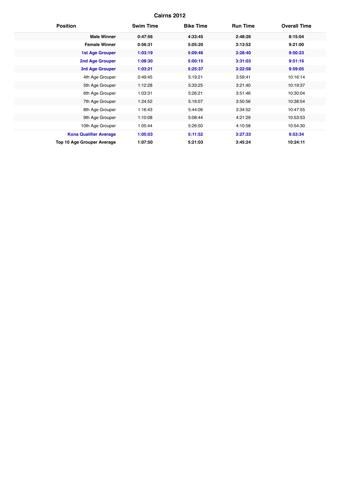| <b>Position</b>               | <b>Swim Time</b> | <b>Bike Time</b> | <b>Run Time</b> | <b>Overall Time</b> |
|-------------------------------|------------------|------------------|-----------------|---------------------|
| <b>Male Winner</b>            | 0:47:56          | 4:33:45          | 2:48:26         | 8:15:04             |
| <b>Female Winner</b>          | 0:56:31          | 5:05:20          | 3:13:52         | 9:21:00             |
| <b>1st Age Grouper</b>        | 1:03:19          | 5:09:46          | 3:28:40         | 9:50:23             |
| <b>2nd Age Grouper</b>        | 1:08:30          | 5:00:15          | 3:31:03         | 9:51:16             |
| 3rd Age Grouper               | 1:03:21          | 5:25:37          | 3:22:58         | 9:59:05             |
| 4th Age Grouper               | 0:49:45          | 5:19:21          | 3:59:41         | 10:16:14            |
| 5th Age Grouper               | 1:12:28          | 5:33:25          | 3:21:40         | 10:19:37            |
| 6th Age Grouper               | 1:03:31          | 5:26:21          | 3:51:46         | 10:30:04            |
| 7th Age Grouper               | 1:24:52          | 5:16:07          | 3:50:56         | 10:38:54            |
| 8th Age Grouper               | 1:16:43          | 5:44:06          | 3:34:52         | 10:47:55            |
| 9th Age Grouper               | 1:10:08          | 5:08:44          | 4:21:29         | 10:53:53            |
| 10th Age Grouper              | 1:05:44          | 5:26:50          | 4:10:58         | 10:54:30            |
| <b>Kona Qualifier Average</b> | 1:05:03          | 5:11:52          | 3:27:33         | 9:53:34             |
| Top 10 Age Grouper Average    | 1:07:50          | 5:21:03          | 3:45:24         | 10:24:11            |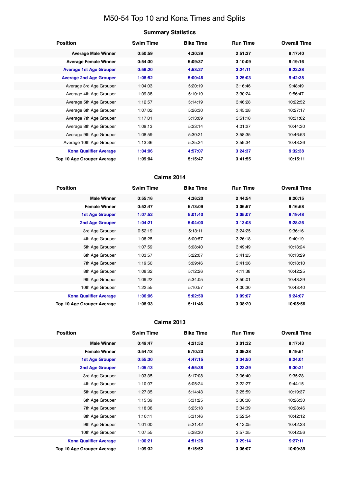# M50-54 Top 10 and Kona Times and Splits

# **Summary Statistics**

| <b>Position</b>                   | <b>Swim Time</b> | <b>Bike Time</b> | <b>Run Time</b> | <b>Overall Time</b> |
|-----------------------------------|------------------|------------------|-----------------|---------------------|
| <b>Average Male Winner</b>        | 0:50:59          | 4:30:39          | 2:51:37         | 8:17:40             |
| <b>Average Female Winner</b>      | 0:54:30          | 5:09:37          | 3:10:09         | 9:19:16             |
| <b>Average 1st Age Grouper</b>    | 0:59:20          | 4:53:27          | 3:24:11         | 9:22:38             |
| <b>Average 2nd Age Grouper</b>    | 1:08:52          | 5:00:46          | 3:25:03         | 9:42:38             |
| Average 3rd Age Grouper           | 1:04:03          | 5:20:19          | 3:16:46         | 9:48:49             |
| Average 4th Age Grouper           | 1:09:38          | 5:10:19          | 3:30:24         | 9:56:47             |
| Average 5th Age Grouper           | 1:12:57          | 5:14:19          | 3:46:28         | 10:22:52            |
| Average 6th Age Grouper           | 1:07:02          | 5:26:30          | 3:45:28         | 10:27:17            |
| Average 7th Age Grouper           | 1:17:01          | 5:13:09          | 3:51:18         | 10:31:02            |
| Average 8th Age Grouper           | 1:09:13          | 5:23:14          | 4:01:27         | 10:44:30            |
| Average 9th Age Grouper           | 1:08:59          | 5:30:21          | 3:58:35         | 10:46:53            |
| Average 10th Age Grouper          | 1:13:36          | 5:25:24          | 3:59:34         | 10:48:26            |
| <b>Kona Qualifier Average</b>     | 1:04:06          | 4:57:07          | 3:24:37         | 9:32:38             |
| <b>Top 10 Age Grouper Average</b> | 1:09:04          | 5:15:47          | 3:41:55         | 10:15:11            |

#### **Cairns 2014**

| <b>Position</b>               | <b>Swim Time</b> | <b>Bike Time</b> | <b>Run Time</b> | <b>Overall Time</b> |
|-------------------------------|------------------|------------------|-----------------|---------------------|
| <b>Male Winner</b>            | 0:55:16          | 4:36:20          | 2:44:54         | 8:20:15             |
| <b>Female Winner</b>          | 0:52:47          | 5:13:09          | 3:06:57         | 9:16:58             |
| <b>1st Age Grouper</b>        | 1:07:52          | 5:01:40          | 3:05:07         | 9:19:48             |
| 2nd Age Grouper               | 1:04:21          | 5:04:00          | 3:13:08         | 9:28:26             |
| 3rd Age Grouper               | 0:52:19          | 5:13:11          | 3:24:25         | 9:36:16             |
| 4th Age Grouper               | 1:08:25          | 5:00:57          | 3:26:18         | 9:40:19             |
| 5th Age Grouper               | 1:07:59          | 5:08:40          | 3:49:49         | 10:13:24            |
| 6th Age Grouper               | 1:03:57          | 5:22:07          | 3:41:25         | 10:13:29            |
| 7th Age Grouper               | 1:19:50          | 5:09:46          | 3:41:06         | 10:18:10            |
| 8th Age Grouper               | 1:08:32          | 5:12:26          | 4:11:38         | 10:42:25            |
| 9th Age Grouper               | 1:09:22          | 5:34:05          | 3:50:01         | 10:43:29            |
| 10th Age Grouper              | 1:22:55          | 5:10:57          | 4:00:30         | 10:43:40            |
| <b>Kona Qualifier Average</b> | 1:06:06          | 5:02:50          | 3:09:07         | 9:24:07             |
| Top 10 Age Grouper Average    | 1:08:33          | 5:11:46          | 3:38:20         | 10:05:56            |

| <b>Position</b>                   | <b>Swim Time</b> | <b>Bike Time</b> | <b>Run Time</b> | <b>Overall Time</b> |
|-----------------------------------|------------------|------------------|-----------------|---------------------|
| <b>Male Winner</b>                | 0:49:47          | 4:21:52          | 3:01:32         | 8:17:43             |
| <b>Female Winner</b>              | 0:54:13          | 5:10:23          | 3:09:38         | 9:19:51             |
| <b>1st Age Grouper</b>            | 0:55:30          | 4:47:15          | 3:34:50         | 9:24:01             |
| 2nd Age Grouper                   | 1:05:13          | 4:55:38          | 3:23:39         | 9:30:21             |
| 3rd Age Grouper                   | 1:03:35          | 5:17:08          | 3:06:40         | 9:35:28             |
| 4th Age Grouper                   | 1:10:07          | 5:05:24          | 3:22:27         | 9:44:15             |
| 5th Age Grouper                   | 1:27:35          | 5:14:43          | 3:25:59         | 10:19:37            |
| 6th Age Grouper                   | 1:15:39          | 5:31:25          | 3:30:38         | 10:26:30            |
| 7th Age Grouper                   | 1:18:38          | 5:25:18          | 3:34:39         | 10:28:46            |
| 8th Age Grouper                   | 1:10:11          | 5:31:46          | 3:52:54         | 10:42:12            |
| 9th Age Grouper                   | 1:01:00          | 5:21:42          | 4:12:05         | 10:42:33            |
| 10th Age Grouper                  | 1:07:55          | 5:28:30          | 3:57:25         | 10:42:56            |
| <b>Kona Qualifier Average</b>     | 1:00:21          | 4:51:26          | 3:29:14         | 9:27:11             |
| <b>Top 10 Age Grouper Average</b> | 1:09:32          | 5:15:52          | 3:36:07         | 10:09:39            |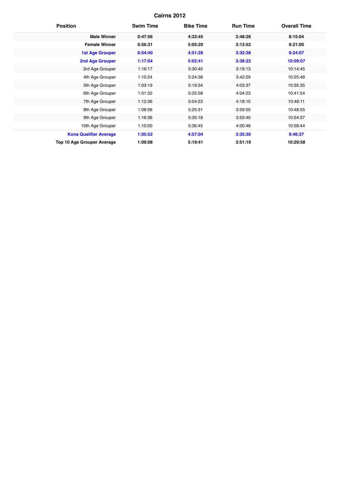| <b>Position</b>                   | <b>Swim Time</b> | <b>Bike Time</b> | <b>Run Time</b> | <b>Overall Time</b> |
|-----------------------------------|------------------|------------------|-----------------|---------------------|
| <b>Male Winner</b>                | 0:47:56          | 4:33:45          | 2:48:26         | 8:15:04             |
| <b>Female Winner</b>              | 0:56:31          | 5:05:20          | 3:13:52         | 9:21:00             |
| <b>1st Age Grouper</b>            | 0:54:40          | 4:51:28          | 3:32:38         | 9:24:07             |
| <b>2nd Age Grouper</b>            | 1:17:04          | 5:02:41          | 3:38:22         | 10:09:07            |
| 3rd Age Grouper                   | 1:16:17          | 5:30:40          | 3:19:13         | 10:14:45            |
| 4th Age Grouper                   | 1:10:24          | 5:24:38          | 3:42:29         | 10:25:48            |
| 5th Age Grouper                   | 1:03:19          | 5:19:34          | 4:03:37         | 10:35:35            |
| 6th Age Grouper                   | 1:01:32          | 5:25:58          | 4:04:23         | 10:41:54            |
| 7th Age Grouper                   | 1:12:36          | 5:04:23          | 4:18:10         | 10:46:11            |
| 8th Age Grouper                   | 1:08:56          | 5:25:31          | 3:59:50         | 10:48:55            |
| 9th Age Grouper                   | 1:16:36          | 5:35:18          | 3:53:40         | 10:54:37            |
| 10th Age Grouper                  | 1:10:00          | 5:36:45          | 4:00:48         | 10:58:44            |
| <b>Kona Qualifier Average</b>     | 1:05:52          | 4:57:04          | 3:35:30         | 9:46:37             |
| <b>Top 10 Age Grouper Average</b> | 1:09:08          | 5:19:41          | 3:51:19         | 10:29:58            |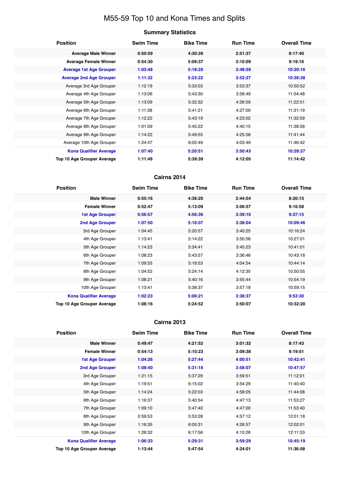# M55-59 Top 10 and Kona Times and Splits

# **Summary Statistics**

| <b>Position</b>                   | <b>Swim Time</b> | <b>Bike Time</b> | <b>Run Time</b> | <b>Overall Time</b> |
|-----------------------------------|------------------|------------------|-----------------|---------------------|
| <b>Average Male Winner</b>        | 0:50:59          | 4:30:39          | 2:51:37         | 8:17:40             |
| <b>Average Female Winner</b>      | 0:54:30          | 5:09:37          | 3:10:09         | 9:19:16             |
| <b>Average 1st Age Grouper</b>    | 1:03:48          | 5:18:20          | 3:48:59         | 10:20:16            |
| <b>Average 2nd Age Grouper</b>    | 1:11:32          | 5:23:22          | 3:52:27         | 10:36:38            |
| Average 3rd Age Grouper           | 1:12:19          | 5:33:03          | 3:53:37         | 10:50:52            |
| Average 4th Age Grouper           | 1:13:06          | 5:43:30          | 3:58:49         | 11:04:48            |
| Average 5th Age Grouper           | 1:13:09          | 5:32:32          | 4:26:59         | 11:22:51            |
| Average 6th Age Grouper           | 1:11:38          | 5:41:21          | 4:27:00         | 11:31:19            |
| Average 7th Age Grouper           | 1:12:22          | 5:43:19          | 4:23:02         | 11:32:59            |
| Average 8th Age Grouper           | 1:01:09          | 5:45:22          | 4:40:15         | 11:38:58            |
| Average 9th Age Grouper           | 1:14:22          | 5:49:55          | 4:25:58         | 11:41:44            |
| Average 10th Age Grouper          | 1:24:47          | 6:05:49          | 4:03:49         | 11:46:42            |
| <b>Kona Qualifier Average</b>     | 1:07:40          | 5:20:51          | 3:50:43         | 10:28:27            |
| <b>Top 10 Age Grouper Average</b> | 1:11:49          | 5:39:39          | 4:12:05         | 11:14:42            |

### **Cairns 2014**

| <b>Position</b>               | <b>Swim Time</b> | <b>Bike Time</b> | <b>Run Time</b> | <b>Overall Time</b> |
|-------------------------------|------------------|------------------|-----------------|---------------------|
| <b>Male Winner</b>            | 0:55:16          | 4:36:20          | 2:44:54         | 8:20:15             |
| <b>Female Winner</b>          | 0:52:47          | 5:13:09          | 3:06:57         | 9:16:58             |
| <b>1st Age Grouper</b>        | 0:56:57          | 4:56:36          | 3:39:10         | 9:37:15             |
| 2nd Age Grouper               | 1:07:50          | 5:16:07          | 3:38:04         | 10:09:46            |
| 3rd Age Grouper               | 1:04:45          | 5:20:57          | 3:40:25         | 10:16:24            |
| 4th Age Grouper               | 1:13:41          | 5:14:22          | 3:50:56         | 10:27:01            |
| 5th Age Grouper               | 1:14:23          | 5:34:41          | 3:45:23         | 10:41:01            |
| 6th Age Grouper               | 1:08:23          | 5:43:57          | 3:36:46         | 10:43:18            |
| 7th Age Grouper               | 1:09:55          | 5:18:53          | 4:04:54         | 10:44:14            |
| 8th Age Grouper               | 1:04:52          | 5:24:14          | 4:12:35         | 10:50:55            |
| 9th Age Grouper               | 1:08:21          | 5:40:16          | 3:55:44         | 10:54:19            |
| 10th Age Grouper              | 1:13:41          | 5:38:37          | 3:57:18         | 10:59:15            |
| <b>Kona Qualifier Average</b> | 1:02:23          | 5:06:21          | 3:38:37         | 9:53:30             |
| Top 10 Age Grouper Average    | 1:08:16          | 5:24:52          | 3:50:07         | 10:32:20            |

| <b>Position</b>               | <b>Swim Time</b> | <b>Bike Time</b> | <b>Run Time</b> | <b>Overall Time</b> |
|-------------------------------|------------------|------------------|-----------------|---------------------|
| <b>Male Winner</b>            | 0:49:47          | 4:21:52          | 3:01:32         | 8:17:43             |
| <b>Female Winner</b>          | 0:54:13          | 5:10:23          | 3:09:38         | 9:19:51             |
| <b>1st Age Grouper</b>        | 1:04:26          | 5:27:44          | 4:00:51         | 10:42:41            |
| <b>2nd Age Grouper</b>        | 1:08:40          | 5:31:18          | 3:58:07         | 10:47:57            |
| 3rd Age Grouper               | 1:21:15          | 5:37:29          | 3:59:51         | 11:12:01            |
| 4th Age Grouper               | 1:19:51          | 6:15:02          | 3:54:29         | 11:40:40            |
| 5th Age Grouper               | 1:14:24          | 5:22:03          | 4:58:05         | 11:44:08            |
| 6th Age Grouper               | 1:16:37          | 5:40:54          | 4:47:13         | 11:53:27            |
| 7th Age Grouper               | 1:09:10          | 5:47:40          | 4:47:00         | 11:53:40            |
| 8th Age Grouper               | 0:59:53          | 5:53:28          | 4:57:12         | 12:01:18            |
| 9th Age Grouper               | 1:16:35          | 6:05:31          | 4:26:57         | 12:02:01            |
| 10th Age Grouper              | 1:26:32          | 6:17:56          | 4:10:26         | 12:11:53            |
| <b>Kona Qualifier Average</b> | 1:06:33          | 5:29:31          | 3:59:29         | 10:45:19            |
| Top 10 Age Grouper Average    | 1:13:44          | 5:47:54          | 4:24:01         | 11:36:58            |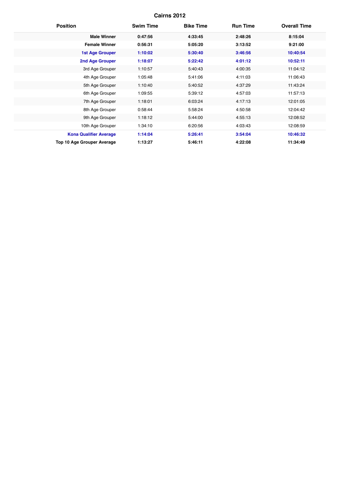| <b>Position</b>                   | <b>Swim Time</b> | <b>Bike Time</b> | <b>Run Time</b> | <b>Overall Time</b> |
|-----------------------------------|------------------|------------------|-----------------|---------------------|
| <b>Male Winner</b>                | 0:47:56          | 4:33:45          | 2:48:26         | 8:15:04             |
| <b>Female Winner</b>              | 0:56:31          | 5:05:20          | 3:13:52         | 9:21:00             |
| <b>1st Age Grouper</b>            | 1:10:02          | 5:30:40          | 3:46:56         | 10:40:54            |
| <b>2nd Age Grouper</b>            | 1:18:07          | 5:22:42          | 4:01:12         | 10:52:11            |
| 3rd Age Grouper                   | 1:10:57          | 5:40:43          | 4:00:35         | 11:04:12            |
| 4th Age Grouper                   | 1:05:48          | 5:41:06          | 4:11:03         | 11:06:43            |
| 5th Age Grouper                   | 1:10:40          | 5:40:52          | 4:37:29         | 11:43:24            |
| 6th Age Grouper                   | 1:09:55          | 5:39:12          | 4:57:03         | 11:57:13            |
| 7th Age Grouper                   | 1:18:01          | 6:03:24          | 4:17:13         | 12:01:05            |
| 8th Age Grouper                   | 0:58:44          | 5:58:24          | 4:50:58         | 12:04:42            |
| 9th Age Grouper                   | 1:18:12          | 5:44:00          | 4:55:13         | 12:08:52            |
| 10th Age Grouper                  | 1:34:10          | 6:20:56          | 4:03:43         | 12:08:59            |
| <b>Kona Qualifier Average</b>     | 1:14:04          | 5:26:41          | 3:54:04         | 10:46:32            |
| <b>Top 10 Age Grouper Average</b> | 1:13:27          | 5:46:11          | 4:22:08         | 11:34:49            |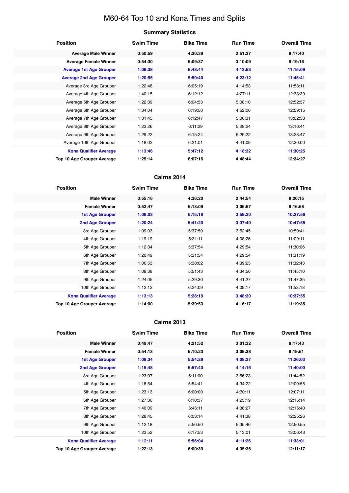# M60-64 Top 10 and Kona Times and Splits

# **Summary Statistics**

| <b>Position</b>                   | <b>Swim Time</b> | <b>Bike Time</b> | <b>Run Time</b> | <b>Overall Time</b> |
|-----------------------------------|------------------|------------------|-----------------|---------------------|
| <b>Average Male Winner</b>        | 0:50:59          | 4:30:39          | 2:51:37         | 8:17:40             |
| <b>Average Female Winner</b>      | 0:54:30          | 5:09:37          | 3:10:09         | 9:19:16             |
| <b>Average 1st Age Grouper</b>    | 1:06:38          | 5:43:44          | 4:13:53         | 11:15:09            |
| <b>Average 2nd Age Grouper</b>    | 1:20:55          | 5:50:40          | 4:23:12         | 11:45:41            |
| Average 3rd Age Grouper           | 1:22:48          | 6:05:19          | 4:14:53         | 11:58:11            |
| Average 4th Age Grouper           | 1:40:15          | 6:12:12          | 4:27:11         | 12:33:39            |
| Average 5th Age Grouper           | 1:22:39          | 6:04:53          | 5:08:10         | 12:52:37            |
| Average 6th Age Grouper           | 1:34:04          | 6:19:50          | 4:52:00         | 12:59:15            |
| Average 7th Age Grouper           | 1:31:45          | 6:12:47          | 5:06:31         | 13:02:58            |
| Average 8th Age Grouper           | 1:23:26          | 6:11:29          | 5:28:24         | 13:16:41            |
| Average 9th Age Grouper           | 1:29:22          | 6:15:24          | 5:29:22         | 13:28:47            |
| Average 10th Age Grouper          | 1:18:02          | 6:21:01          | 4:41:09         | 12:30:00            |
| <b>Kona Qualifier Average</b>     | 1:13:46          | 5:47:12          | 4:18:32         | 11:30:25            |
| <b>Top 10 Age Grouper Average</b> | 1:25:14          | 6:07:16          | 4:48:44         | 12:34:27            |

#### **Cairns 2014**

| <b>Position</b>               | <b>Swim Time</b> | <b>Bike Time</b> | <b>Run Time</b> | <b>Overall Time</b> |
|-------------------------------|------------------|------------------|-----------------|---------------------|
| <b>Male Winner</b>            | 0:55:16          | 4:36:20          | 2:44:54         | 8:20:15             |
| <b>Female Winner</b>          | 0:52:47          | 5:13:09          | 3:06:57         | 9:16:58             |
| <b>1st Age Grouper</b>        | 1:06:03          | 5:15:18          | 3:59:20         | 10:27:56            |
| 2nd Age Grouper               | 1:20:24          | 5:41:20          | 3:37:40         | 10:47:55            |
| 3rd Age Grouper               | 1:09:03          | 5:37:50          | 3:52:45         | 10:50:41            |
| 4th Age Grouper               | 1:19:19          | 5:31:11          | 4:08:26         | 11:09:11            |
| 5th Age Grouper               | 1:12:34          | 5:37:54          | 4:29:54         | 11:30:06            |
| 6th Age Grouper               | 1:20:49          | 5:31:54          | 4:29:54         | 11:31:19            |
| 7th Age Grouper               | 1:06:53          | 5:38:02          | 4:39:25         | 11:32:43            |
| 8th Age Grouper               | 1:08:38          | 5:51:43          | 4:34:50         | 11:45:10            |
| 9th Age Grouper               | 1:24:05          | 5:29:30          | 4:41:27         | 11:47:35            |
| 10th Age Grouper              | 1:12:12          | 6:24:09          | 4:09:17         | 11:53:18            |
| <b>Kona Qualifier Average</b> | 1:13:13          | 5:28:19          | 3:48:30         | 10:37:55            |
| Top 10 Age Grouper Average    | 1:14:00          | 5:39:53          | 4:16:17         | 11:19:35            |

| <b>Position</b>               | <b>Swim Time</b> | <b>Bike Time</b> | <b>Run Time</b> | <b>Overall Time</b> |
|-------------------------------|------------------|------------------|-----------------|---------------------|
| <b>Male Winner</b>            | 0:49:47          | 4:21:52          | 3:01:32         | 8:17:43             |
| <b>Female Winner</b>          | 0:54:13          | 5:10:23          | 3:09:38         | 9:19:51             |
| <b>1st Age Grouper</b>        | 1:08:34          | 5:54:29          | 4:08:37         | 11:26:03            |
| <b>2nd Age Grouper</b>        | 1:15:48          | 5:57:40          | 4:14:16         | 11:40:00            |
| 3rd Age Grouper               | 1:23:07          | 6:11:00          | 3:56:23         | 11:44:52            |
| 4th Age Grouper               | 1:18:54          | 5:54:41          | 4:34:22         | 12:00:55            |
| 5th Age Grouper               | 1:23:13          | 6:00:00          | 4:30:11         | 12:07:11            |
| 6th Age Grouper               | 1:27:36          | 6:10:37          | 4:23:19         | 12:15:14            |
| 7th Age Grouper               | 1:40:09          | 5:46:11          | 4:38:27         | 12:15:40            |
| 8th Age Grouper               | 1:28:45          | 6:03:14          | 4:41:38         | 12:25:26            |
| 9th Age Grouper               | 1:12:18          | 5:50:50          | 5:35:46         | 12:50:55            |
| 10th Age Grouper              | 1:23:52          | 6:17:53          | 5:13:01         | 13:06:43            |
| <b>Kona Qualifier Average</b> | 1:12:11          | 5:56:04          | 4:11:26         | 11:33:01            |
| Top 10 Age Grouper Average    | 1:22:13          | 6:00:39          | 4:35:36         | 12:11:17            |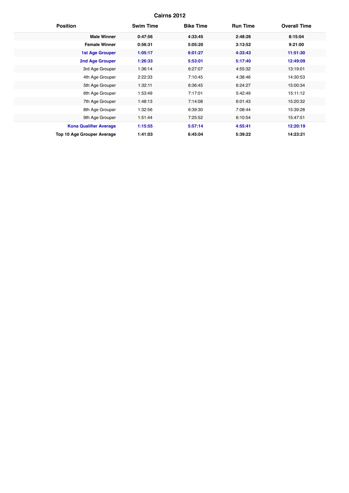| <b>Position</b>                   | <b>Swim Time</b> | <b>Bike Time</b> | <b>Run Time</b> | <b>Overall Time</b> |
|-----------------------------------|------------------|------------------|-----------------|---------------------|
| <b>Male Winner</b>                | 0:47:56          | 4:33:45          | 2:48:26         | 8:15:04             |
| <b>Female Winner</b>              | 0:56:31          | 5:05:20          | 3:13:52         | 9:21:00             |
| <b>1st Age Grouper</b>            | 1:05:17          | 6:01:27          | 4:33:43         | 11:51:30            |
| <b>2nd Age Grouper</b>            | 1:26:33          | 5:53:01          | 5:17:40         | 12:49:09            |
| 3rd Age Grouper                   | 1:36:14          | 6:27:07          | 4:55:32         | 13:19:01            |
| 4th Age Grouper                   | 2:22:33          | 7:10:45          | 4:38:46         | 14:30:53            |
| 5th Age Grouper                   | 1:32:11          | 6:36:45          | 6:24:27         | 15:00:34            |
| 6th Age Grouper                   | 1:53:49          | 7:17:01          | 5:42:49         | 15:11:12            |
| 7th Age Grouper                   | 1:48:13          | 7:14:08          | 6:01:43         | 15:20:32            |
| 8th Age Grouper                   | 1:32:56          | 6:39:30          | 7:08:44         | 15:39:28            |
| 9th Age Grouper                   | 1:51:44          | 7:25:52          | 6:10:54         | 15:47:51            |
| <b>Kona Qualifier Average</b>     | 1:15:55          | 5:57:14          | 4:55:41         | 12:20:19            |
| <b>Top 10 Age Grouper Average</b> | 1:41:03          | 6:45:04          | 5:39:22         | 14:23:21            |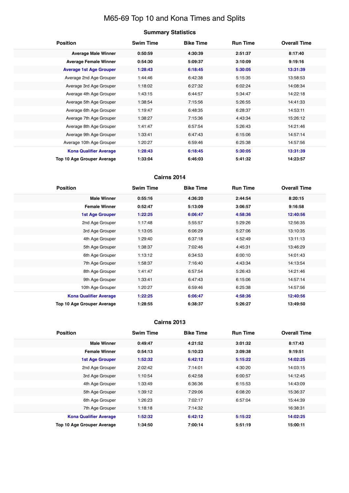# M65-69 Top 10 and Kona Times and Splits

#### **Summary Statistics**

| <b>Position</b>                   | <b>Swim Time</b> | <b>Bike Time</b> | <b>Run Time</b> | <b>Overall Time</b> |
|-----------------------------------|------------------|------------------|-----------------|---------------------|
| <b>Average Male Winner</b>        | 0:50:59          | 4:30:39          | 2:51:37         | 8:17:40             |
| <b>Average Female Winner</b>      | 0:54:30          | 5:09:37          | 3:10:09         | 9:19:16             |
| <b>Average 1st Age Grouper</b>    | 1:28:43          | 6:18:45          | 5:30:05         | 13:31:39            |
| Average 2nd Age Grouper           | 1:44:46          | 6:42:38          | 5:15:35         | 13:58:53            |
| Average 3rd Age Grouper           | 1:18:02          | 6:27:32          | 6:02:24         | 14:08:34            |
| Average 4th Age Grouper           | 1:43:15          | 6:44:57          | 5:34:47         | 14:22:18            |
| Average 5th Age Grouper           | 1:38:54          | 7:15:56          | 5:26:55         | 14:41:33            |
| Average 6th Age Grouper           | 1:19:47          | 6:48:35          | 6:28:37         | 14:53:11            |
| Average 7th Age Grouper           | 1:38:27          | 7:15:36          | 4:43:34         | 15:26:12            |
| Average 8th Age Grouper           | 1:41:47          | 6:57:54          | 5:26:43         | 14:21:46            |
| Average 9th Age Grouper           | 1:33:41          | 6:47:43          | 6:15:06         | 14:57:14            |
| Average 10th Age Grouper          | 1:20:27          | 6:59:46          | 6:25:38         | 14:57:56            |
| <b>Kona Qualifier Average</b>     | 1:28:43          | 6:18:45          | 5:30:05         | 13:31:39            |
| <b>Top 10 Age Grouper Average</b> | 1:33:04          | 6:46:03          | 5:41:32         | 14:23:57            |

### **Cairns 2014**

| <b>Position</b>               | <b>Swim Time</b> | <b>Bike Time</b> | <b>Run Time</b> | <b>Overall Time</b> |
|-------------------------------|------------------|------------------|-----------------|---------------------|
| <b>Male Winner</b>            | 0:55:16          | 4:36:20          | 2:44:54         | 8:20:15             |
| <b>Female Winner</b>          | 0:52:47          | 5:13:09          | 3:06:57         | 9:16:58             |
| <b>1st Age Grouper</b>        | 1:22:25          | 6:06:47          | 4:58:36         | 12:40:56            |
| 2nd Age Grouper               | 1:17:48          | 5:55:57          | 5:29:26         | 12:56:35            |
| 3rd Age Grouper               | 1:13:05          | 6:06:29          | 5:27:06         | 13:10:35            |
| 4th Age Grouper               | 1:29:40          | 6:37:18          | 4:52:49         | 13:11:13            |
| 5th Age Grouper               | 1:38:37          | 7:02:46          | 4:45:31         | 13:46:29            |
| 6th Age Grouper               | 1:13:12          | 6:34:53          | 6:00:10         | 14:01:43            |
| 7th Age Grouper               | 1:58:37          | 7:16:40          | 4:43:34         | 14:13:54            |
| 8th Age Grouper               | 1:41:47          | 6:57:54          | 5:26:43         | 14:21:46            |
| 9th Age Grouper               | 1:33:41          | 6:47:43          | 6:15:06         | 14:57:14            |
| 10th Age Grouper              | 1:20:27          | 6:59:46          | 6:25:38         | 14:57:56            |
| <b>Kona Qualifier Average</b> | 1:22:25          | 6:06:47          | 4:58:36         | 12:40:56            |
| Top 10 Age Grouper Average    | 1:28:55          | 6:38:37          | 5:26:27         | 13:49:50            |

| <b>Position</b>                   | <b>Swim Time</b> | <b>Bike Time</b> | <b>Run Time</b> | <b>Overall Time</b> |
|-----------------------------------|------------------|------------------|-----------------|---------------------|
| <b>Male Winner</b>                | 0:49:47          | 4:21:52          | 3:01:32         | 8:17:43             |
| <b>Female Winner</b>              | 0:54:13          | 5:10:23          | 3:09:38         | 9:19:51             |
| <b>1st Age Grouper</b>            | 1:52:32          | 6:42:12          | 5:15:22         | 14:02:25            |
| 2nd Age Grouper                   | 2:02:42          | 7:14:01          | 4:30:20         | 14:03:15            |
| 3rd Age Grouper                   | 1:10:54          | 6:42:58          | 6:00:57         | 14:12:45            |
| 4th Age Grouper                   | 1:33:49          | 6:36:36          | 6:15:53         | 14:43:09            |
| 5th Age Grouper                   | 1:39:12          | 7:29:06          | 6:08:20         | 15:36:37            |
| 6th Age Grouper                   | 1:26:23          | 7:02:17          | 6:57:04         | 15:44:39            |
| 7th Age Grouper                   | 1:18:18          | 7:14:32          |                 | 16:38:31            |
| <b>Kona Qualifier Average</b>     | 1:52:32          | 6:42:12          | 5:15:22         | 14:02:25            |
| <b>Top 10 Age Grouper Average</b> | 1:34:50          | 7:00:14          | 5:51:19         | 15:00:11            |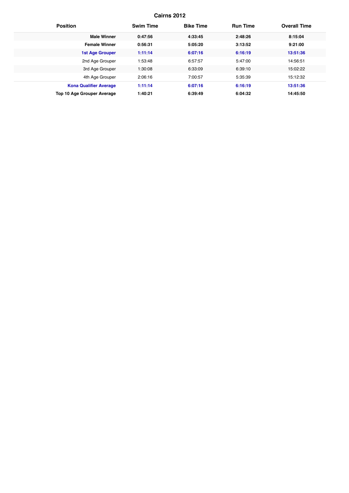| <b>Position</b>               | <b>Swim Time</b> | <b>Bike Time</b> | <b>Run Time</b> | <b>Overall Time</b> |
|-------------------------------|------------------|------------------|-----------------|---------------------|
| <b>Male Winner</b>            | 0:47:56          | 4:33:45          | 2:48:26         | 8:15:04             |
| <b>Female Winner</b>          | 0:56:31          | 5:05:20          | 3:13:52         | 9:21:00             |
| <b>1st Age Grouper</b>        | 1:11:14          | 6:07:16          | 6:16:19         | 13:51:36            |
| 2nd Age Grouper               | 1:53:48          | 6:57:57          | 5:47:00         | 14:56:51            |
| 3rd Age Grouper               | 1:30:08          | 6:33:09          | 6:39:10         | 15:02:22            |
| 4th Age Grouper               | 2:06:16          | 7:00:57          | 5:35:39         | 15:12:32            |
| <b>Kona Qualifier Average</b> | 1:11:14          | 6:07:16          | 6:16:19         | 13:51:36            |
| Top 10 Age Grouper Average    | 1:40:21          | 6:39:49          | 6:04:32         | 14:45:50            |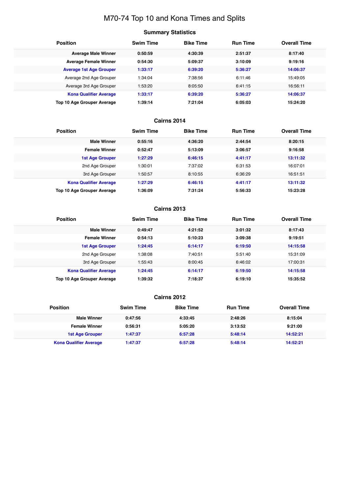# M70-74 Top 10 and Kona Times and Splits

#### **Summary Statistics**

| <b>Position</b>                | <b>Swim Time</b> | <b>Bike Time</b> | <b>Run Time</b> | <b>Overall Time</b> |
|--------------------------------|------------------|------------------|-----------------|---------------------|
| <b>Average Male Winner</b>     | 0:50:59          | 4:30:39          | 2:51:37         | 8:17:40             |
| <b>Average Female Winner</b>   | 0:54:30          | 5:09:37          | 3:10:09         | 9:19:16             |
| <b>Average 1st Age Grouper</b> | 1:33:17          | 6:39:20          | 5:36:27         | 14:06:37            |
| Average 2nd Age Grouper        | 1:34:04          | 7:38:56          | 6:11:46         | 15:49:05            |
| Average 3rd Age Grouper        | 1:53:20          | 8:05:50          | 6:41:15         | 16:56:11            |
| <b>Kona Qualifier Average</b>  | 1:33:17          | 6:39:20          | 5:36:27         | 14:06:37            |
| Top 10 Age Grouper Average     | 1:39:14          | 7:21:04          | 6:05:03         | 15:24:20            |

#### **Cairns 2014**

| <b>Position</b>               | <b>Swim Time</b> | <b>Bike Time</b> | <b>Run Time</b> | <b>Overall Time</b> |
|-------------------------------|------------------|------------------|-----------------|---------------------|
| <b>Male Winner</b>            | 0:55:16          | 4:36:20          | 2:44:54         | 8:20:15             |
| <b>Female Winner</b>          | 0:52:47          | 5:13:09          | 3:06:57         | 9:16:58             |
| <b>1st Age Grouper</b>        | 1:27:29          | 6:46:15          | 4:41:17         | 13:11:32            |
| 2nd Age Grouper               | 1:30:01          | 7:37:02          | 6:31:53         | 16:07:01            |
| 3rd Age Grouper               | 1:50:57          | 8:10:55          | 6:36:29         | 16:51:51            |
| <b>Kona Qualifier Average</b> | 1:27:29          | 6:46:15          | 4:41:17         | 13:11:32            |
| Top 10 Age Grouper Average    | 1:36:09          | 7:31:24          | 5:56:33         | 15:23:28            |

#### **Cairns 2013**

| <b>Position</b>                   | <b>Swim Time</b> | <b>Bike Time</b> | <b>Run Time</b> | <b>Overall Time</b> |
|-----------------------------------|------------------|------------------|-----------------|---------------------|
| <b>Male Winner</b>                | 0:49:47          | 4:21:52          | 3:01:32         | 8:17:43             |
| <b>Female Winner</b>              | 0:54:13          | 5:10:23          | 3:09:38         | 9:19:51             |
| <b>1st Age Grouper</b>            | 1:24:45          | 6:14:17          | 6:19:50         | 14:15:58            |
| 2nd Age Grouper                   | 1:38:08          | 7:40:51          | 5:51:40         | 15:31:09            |
| 3rd Age Grouper                   | 1:55:43          | 8:00:45          | 6:46:02         | 17:00:31            |
| <b>Kona Qualifier Average</b>     | 1:24:45          | 6:14:17          | 6:19:50         | 14:15:58            |
| <b>Top 10 Age Grouper Average</b> | 1:39:32          | 7:18:37          | 6:19:10         | 15:35:52            |

| <b>Position</b>               | <b>Swim Time</b> | <b>Bike Time</b> | <b>Run Time</b> | <b>Overall Time</b> |
|-------------------------------|------------------|------------------|-----------------|---------------------|
| <b>Male Winner</b>            | 0:47:56          | 4:33:45          | 2:48:26         | 8:15:04             |
| <b>Female Winner</b>          | 0:56:31          | 5:05:20          | 3:13:52         | 9:21:00             |
| <b>1st Age Grouper</b>        | 1:47:37          | 6:57:28          | 5:48:14         | 14:52:21            |
| <b>Kona Qualifier Average</b> | 1:47:37          | 6:57:28          | 5:48:14         | 14:52:21            |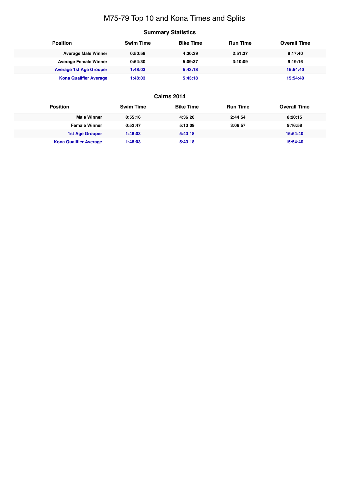# M75-79 Top 10 and Kona Times and Splits

# **Summary Statistics**

| <b>Position</b>                | <b>Swim Time</b> | <b>Bike Time</b> | <b>Run Time</b> | <b>Overall Time</b> |
|--------------------------------|------------------|------------------|-----------------|---------------------|
| <b>Average Male Winner</b>     | 0:50:59          | 4:30:39          | 2:51:37         | 8:17:40             |
| <b>Average Female Winner</b>   | 0:54:30          | 5:09:37          | 3:10:09         | 9:19:16             |
| <b>Average 1st Age Grouper</b> | 1:48:03          | 5:43:18          |                 | 15:54:40            |
| <b>Kona Qualifier Average</b>  | 1:48:03          | 5:43:18          |                 | 15:54:40            |

| <b>Position</b>               | <b>Swim Time</b> | <b>Bike Time</b> | <b>Run Time</b> | <b>Overall Time</b> |
|-------------------------------|------------------|------------------|-----------------|---------------------|
| <b>Male Winner</b>            | 0:55:16          | 4:36:20          | 2:44:54         | 8:20:15             |
| <b>Female Winner</b>          | 0:52:47          | 5:13:09          | 3:06:57         | 9:16:58             |
| <b>1st Age Grouper</b>        | 1:48:03          | 5:43:18          |                 | 15:54:40            |
| <b>Kona Qualifier Average</b> | 1:48:03          | 5:43:18          |                 | 15:54:40            |